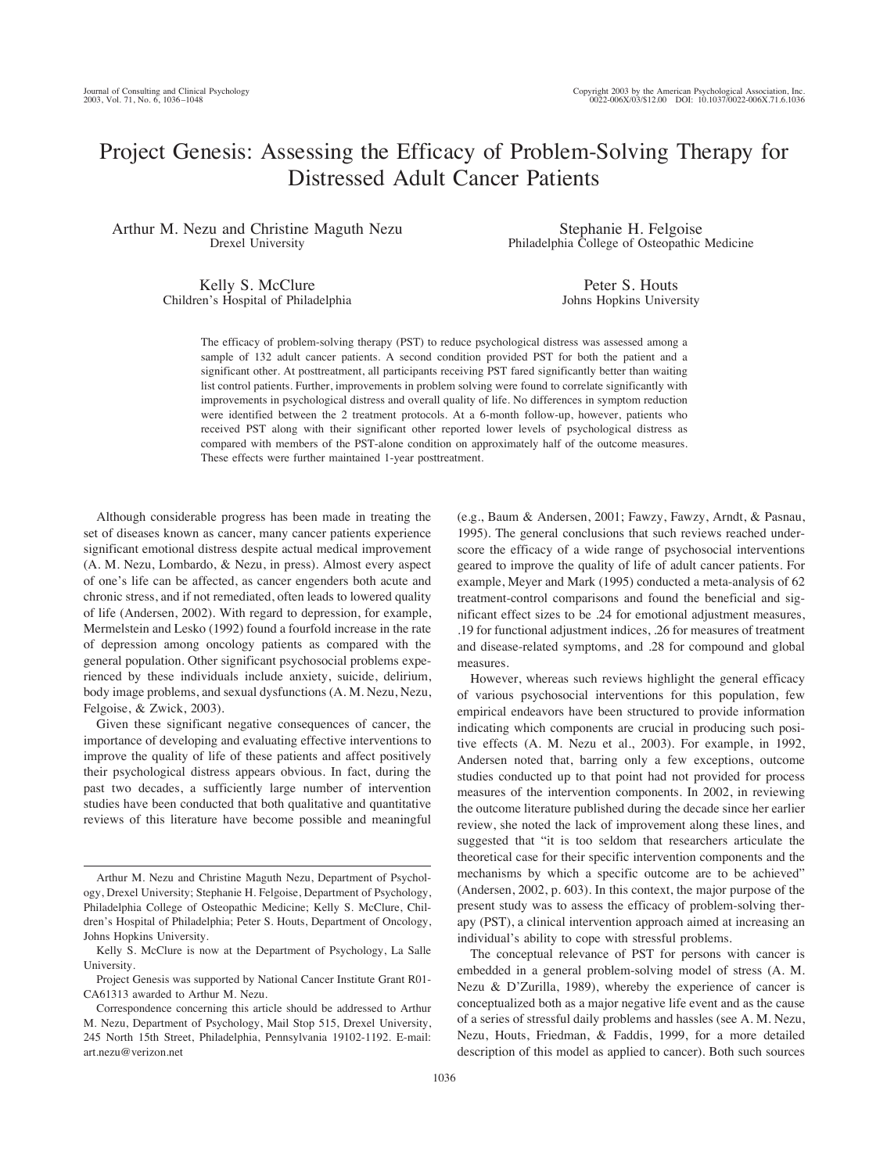# Project Genesis: Assessing the Efficacy of Problem-Solving Therapy for Distressed Adult Cancer Patients

Arthur M. Nezu and Christine Maguth Nezu Drexel University

Stephanie H. Felgoise Philadelphia College of Osteopathic Medicine

Kelly S. McClure Children's Hospital of Philadelphia

Peter S. Houts Johns Hopkins University

The efficacy of problem-solving therapy (PST) to reduce psychological distress was assessed among a sample of 132 adult cancer patients. A second condition provided PST for both the patient and a significant other. At posttreatment, all participants receiving PST fared significantly better than waiting list control patients. Further, improvements in problem solving were found to correlate significantly with improvements in psychological distress and overall quality of life. No differences in symptom reduction were identified between the 2 treatment protocols. At a 6-month follow-up, however, patients who received PST along with their significant other reported lower levels of psychological distress as compared with members of the PST-alone condition on approximately half of the outcome measures. These effects were further maintained 1-year posttreatment.

Although considerable progress has been made in treating the set of diseases known as cancer, many cancer patients experience significant emotional distress despite actual medical improvement (A. M. Nezu, Lombardo, & Nezu, in press). Almost every aspect of one's life can be affected, as cancer engenders both acute and chronic stress, and if not remediated, often leads to lowered quality of life (Andersen, 2002). With regard to depression, for example, Mermelstein and Lesko (1992) found a fourfold increase in the rate of depression among oncology patients as compared with the general population. Other significant psychosocial problems experienced by these individuals include anxiety, suicide, delirium, body image problems, and sexual dysfunctions (A. M. Nezu, Nezu, Felgoise, & Zwick, 2003).

Given these significant negative consequences of cancer, the importance of developing and evaluating effective interventions to improve the quality of life of these patients and affect positively their psychological distress appears obvious. In fact, during the past two decades, a sufficiently large number of intervention studies have been conducted that both qualitative and quantitative reviews of this literature have become possible and meaningful (e.g., Baum & Andersen, 2001; Fawzy, Fawzy, Arndt, & Pasnau, 1995). The general conclusions that such reviews reached underscore the efficacy of a wide range of psychosocial interventions geared to improve the quality of life of adult cancer patients. For example, Meyer and Mark (1995) conducted a meta-analysis of 62 treatment-control comparisons and found the beneficial and significant effect sizes to be .24 for emotional adjustment measures, .19 for functional adjustment indices, .26 for measures of treatment and disease-related symptoms, and .28 for compound and global measures.

However, whereas such reviews highlight the general efficacy of various psychosocial interventions for this population, few empirical endeavors have been structured to provide information indicating which components are crucial in producing such positive effects (A. M. Nezu et al., 2003). For example, in 1992, Andersen noted that, barring only a few exceptions, outcome studies conducted up to that point had not provided for process measures of the intervention components. In 2002, in reviewing the outcome literature published during the decade since her earlier review, she noted the lack of improvement along these lines, and suggested that "it is too seldom that researchers articulate the theoretical case for their specific intervention components and the mechanisms by which a specific outcome are to be achieved" (Andersen, 2002, p. 603). In this context, the major purpose of the present study was to assess the efficacy of problem-solving therapy (PST), a clinical intervention approach aimed at increasing an individual's ability to cope with stressful problems.

The conceptual relevance of PST for persons with cancer is embedded in a general problem-solving model of stress (A. M. Nezu & D'Zurilla, 1989), whereby the experience of cancer is conceptualized both as a major negative life event and as the cause of a series of stressful daily problems and hassles (see A. M. Nezu, Nezu, Houts, Friedman, & Faddis, 1999, for a more detailed description of this model as applied to cancer). Both such sources

Arthur M. Nezu and Christine Maguth Nezu, Department of Psychology, Drexel University; Stephanie H. Felgoise, Department of Psychology, Philadelphia College of Osteopathic Medicine; Kelly S. McClure, Children's Hospital of Philadelphia; Peter S. Houts, Department of Oncology, Johns Hopkins University.

Kelly S. McClure is now at the Department of Psychology, La Salle University.

Project Genesis was supported by National Cancer Institute Grant R01- CA61313 awarded to Arthur M. Nezu.

Correspondence concerning this article should be addressed to Arthur M. Nezu, Department of Psychology, Mail Stop 515, Drexel University, 245 North 15th Street, Philadelphia, Pennsylvania 19102-1192. E-mail: art.nezu@verizon.net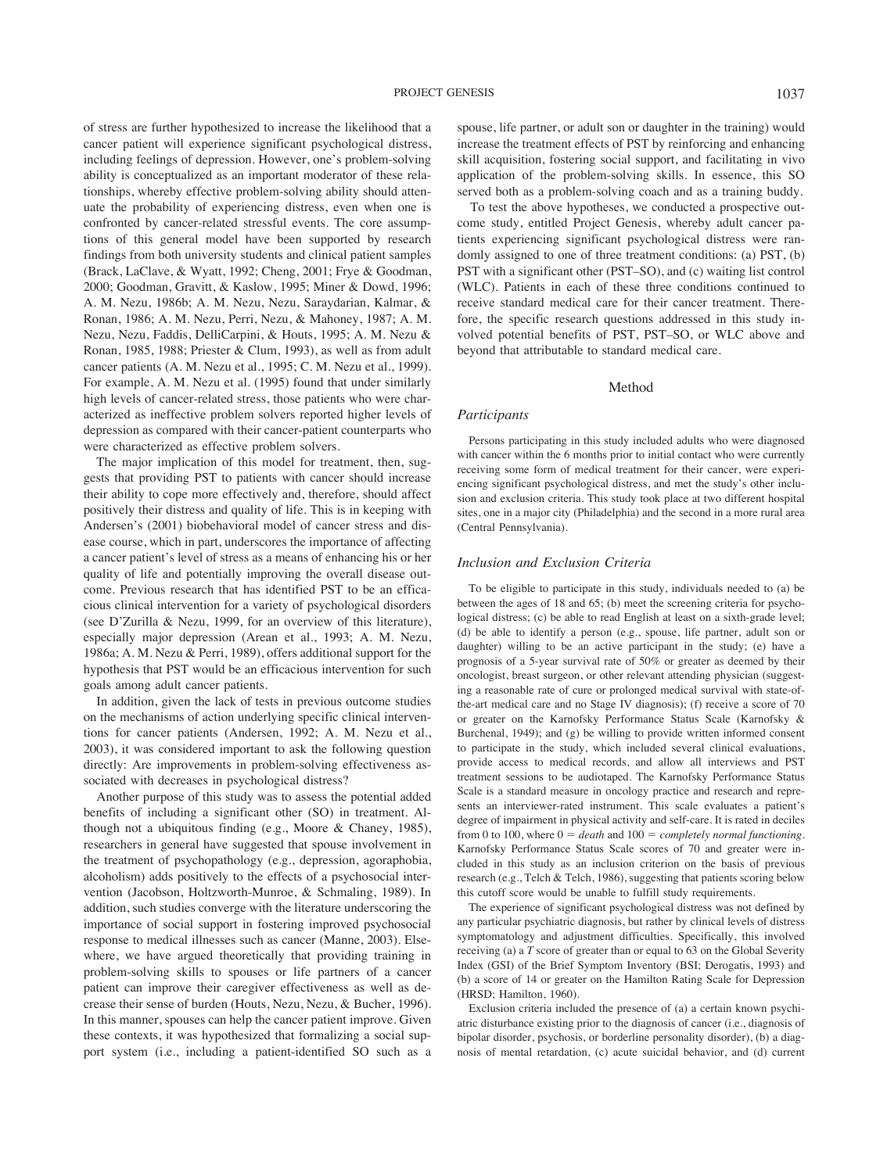of stress are further hypothesized to increase the likelihood that a cancer patient will experience significant psychological distress, including feelings of depression. However, one's problem-solving ability is conceptualized as an important moderator of these relationships, whereby effective problem-solving ability should attenuate the probability of experiencing distress, even when one is confronted by cancer-related stressful events. The core assumptions of this general model have been supported by research findings from both university students and clinical patient samples (Brack, LaClave, & Wyatt, 1992; Cheng, 2001; Frye & Goodman, 2000; Goodman, Gravitt, & Kaslow, 1995; Miner & Dowd, 1996; A. M. Nezu, 1986b; A. M. Nezu, Nezu, Saraydarian, Kalmar, & Ronan, 1986; A. M. Nezu, Perri, Nezu, & Mahoney, 1987; A. M. Nezu, Nezu, Faddis, DelliCarpini, & Houts, 1995; A. M. Nezu & Ronan, 1985, 1988; Priester & Clum, 1993), as well as from adult cancer patients (A. M. Nezu et al., 1995; C. M. Nezu et al., 1999). For example, A. M. Nezu et al. (1995) found that under similarly high levels of cancer-related stress, those patients who were characterized as ineffective problem solvers reported higher levels of depression as compared with their cancer-patient counterparts who were characterized as effective problem solvers.

The major implication of this model for treatment, then, suggests that providing PST to patients with cancer should increase their ability to cope more effectively and, therefore, should affect positively their distress and quality of life. This is in keeping with Andersen's (2001) biobehavioral model of cancer stress and disease course, which in part, underscores the importance of affecting a cancer patient's level of stress as a means of enhancing his or her quality of life and potentially improving the overall disease outcome. Previous research that has identified PST to be an efficacious clinical intervention for a variety of psychological disorders (see D'Zurilla & Nezu, 1999, for an overview of this literature), especially major depression (Arean et al., 1993; A. M. Nezu, 1986a; A. M. Nezu & Perri, 1989), offers additional support for the hypothesis that PST would be an efficacious intervention for such goals among adult cancer patients.

In addition, given the lack of tests in previous outcome studies on the mechanisms of action underlying specific clinical interventions for cancer patients (Andersen, 1992; A. M. Nezu et al., 2003), it was considered important to ask the following question directly: Are improvements in problem-solving effectiveness associated with decreases in psychological distress?

Another purpose of this study was to assess the potential added benefits of including a significant other (SO) in treatment. Although not a ubiquitous finding (e.g., Moore & Chaney, 1985), researchers in general have suggested that spouse involvement in the treatment of psychopathology (e.g., depression, agoraphobia, alcoholism) adds positively to the effects of a psychosocial intervention (Jacobson, Holtzworth-Munroe, & Schmaling, 1989). In addition, such studies converge with the literature underscoring the importance of social support in fostering improved psychosocial response to medical illnesses such as cancer (Manne, 2003). Elsewhere, we have argued theoretically that providing training in problem-solving skills to spouses or life partners of a cancer patient can improve their caregiver effectiveness as well as decrease their sense of burden (Houts, Nezu, Nezu, & Bucher, 1996). In this manner, spouses can help the cancer patient improve. Given these contexts, it was hypothesized that formalizing a social support system (i.e., including a patient-identified SO such as a

spouse, life partner, or adult son or daughter in the training) would increase the treatment effects of PST by reinforcing and enhancing skill acquisition, fostering social support, and facilitating in vivo application of the problem-solving skills. In essence, this SO served both as a problem-solving coach and as a training buddy.

To test the above hypotheses, we conducted a prospective outcome study, entitled Project Genesis, whereby adult cancer patients experiencing significant psychological distress were randomly assigned to one of three treatment conditions: (a) PST, (b) PST with a significant other (PST–SO), and (c) waiting list control (WLC). Patients in each of these three conditions continued to receive standard medical care for their cancer treatment. Therefore, the specific research questions addressed in this study involved potential benefits of PST, PST–SO, or WLC above and beyond that attributable to standard medical care.

# Method

#### *Participants*

Persons participating in this study included adults who were diagnosed with cancer within the 6 months prior to initial contact who were currently receiving some form of medical treatment for their cancer, were experiencing significant psychological distress, and met the study's other inclusion and exclusion criteria. This study took place at two different hospital sites, one in a major city (Philadelphia) and the second in a more rural area (Central Pennsylvania).

#### *Inclusion and Exclusion Criteria*

To be eligible to participate in this study, individuals needed to (a) be between the ages of 18 and 65; (b) meet the screening criteria for psychological distress; (c) be able to read English at least on a sixth-grade level; (d) be able to identify a person (e.g., spouse, life partner, adult son or daughter) willing to be an active participant in the study; (e) have a prognosis of a 5-year survival rate of 50% or greater as deemed by their oncologist, breast surgeon, or other relevant attending physician (suggesting a reasonable rate of cure or prolonged medical survival with state-ofthe-art medical care and no Stage IV diagnosis); (f) receive a score of 70 or greater on the Karnofsky Performance Status Scale (Karnofsky & Burchenal, 1949); and (g) be willing to provide written informed consent to participate in the study, which included several clinical evaluations, provide access to medical records, and allow all interviews and PST treatment sessions to be audiotaped. The Karnofsky Performance Status Scale is a standard measure in oncology practice and research and represents an interviewer-rated instrument. This scale evaluates a patient's degree of impairment in physical activity and self-care. It is rated in deciles from 0 to 100, where  $0 = death$  and  $100 = completely$  *normal functioning*. Karnofsky Performance Status Scale scores of 70 and greater were included in this study as an inclusion criterion on the basis of previous research (e.g., Telch & Telch, 1986), suggesting that patients scoring below this cutoff score would be unable to fulfill study requirements.

The experience of significant psychological distress was not defined by any particular psychiatric diagnosis, but rather by clinical levels of distress symptomatology and adjustment difficulties. Specifically, this involved receiving (a) a *T* score of greater than or equal to 63 on the Global Severity Index (GSI) of the Brief Symptom Inventory (BSI; Derogatis, 1993) and (b) a score of 14 or greater on the Hamilton Rating Scale for Depression (HRSD; Hamilton, 1960).

Exclusion criteria included the presence of (a) a certain known psychiatric disturbance existing prior to the diagnosis of cancer (i.e., diagnosis of bipolar disorder, psychosis, or borderline personality disorder), (b) a diagnosis of mental retardation, (c) acute suicidal behavior, and (d) current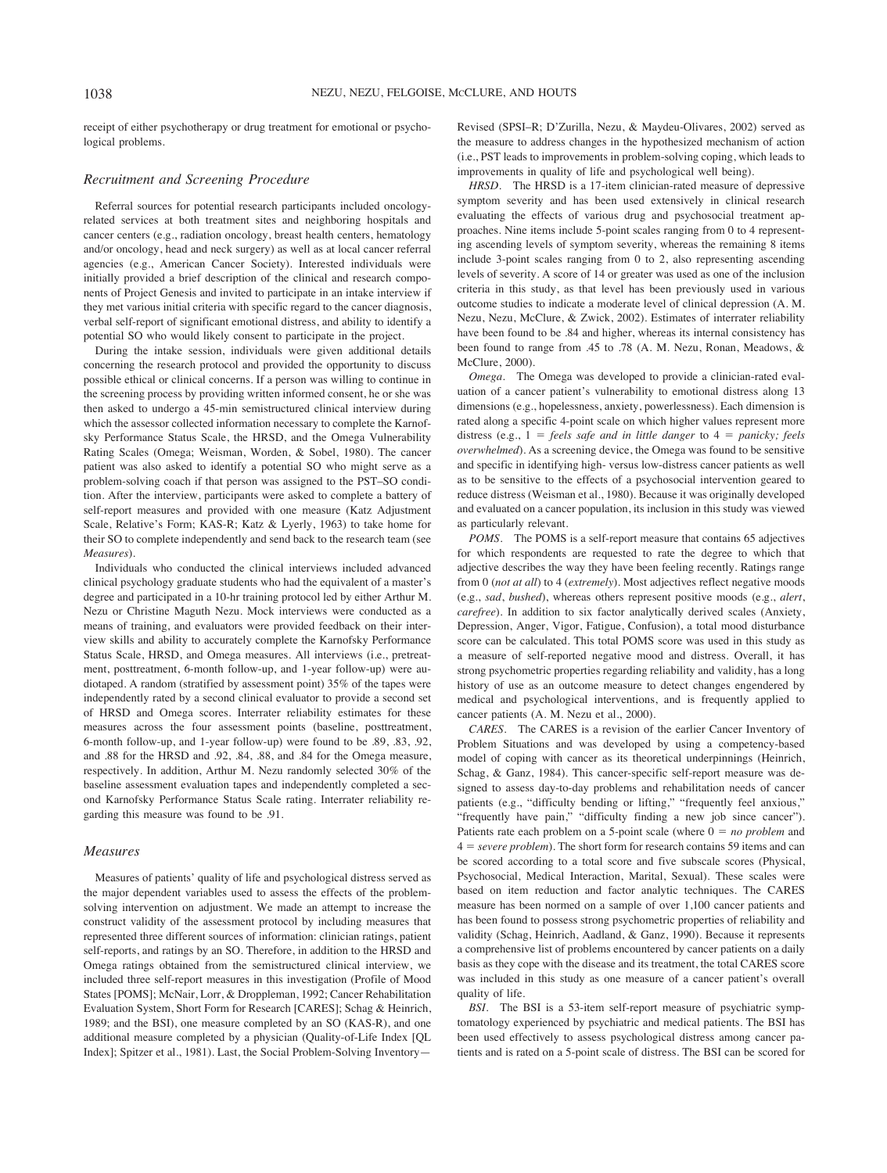receipt of either psychotherapy or drug treatment for emotional or psychological problems.

## *Recruitment and Screening Procedure*

Referral sources for potential research participants included oncologyrelated services at both treatment sites and neighboring hospitals and cancer centers (e.g., radiation oncology, breast health centers, hematology and/or oncology, head and neck surgery) as well as at local cancer referral agencies (e.g., American Cancer Society). Interested individuals were initially provided a brief description of the clinical and research components of Project Genesis and invited to participate in an intake interview if they met various initial criteria with specific regard to the cancer diagnosis, verbal self-report of significant emotional distress, and ability to identify a potential SO who would likely consent to participate in the project.

During the intake session, individuals were given additional details concerning the research protocol and provided the opportunity to discuss possible ethical or clinical concerns. If a person was willing to continue in the screening process by providing written informed consent, he or she was then asked to undergo a 45-min semistructured clinical interview during which the assessor collected information necessary to complete the Karnofsky Performance Status Scale, the HRSD, and the Omega Vulnerability Rating Scales (Omega; Weisman, Worden, & Sobel, 1980). The cancer patient was also asked to identify a potential SO who might serve as a problem-solving coach if that person was assigned to the PST–SO condition. After the interview, participants were asked to complete a battery of self-report measures and provided with one measure (Katz Adjustment Scale, Relative's Form; KAS-R; Katz & Lyerly, 1963) to take home for their SO to complete independently and send back to the research team (see *Measures*).

Individuals who conducted the clinical interviews included advanced clinical psychology graduate students who had the equivalent of a master's degree and participated in a 10-hr training protocol led by either Arthur M. Nezu or Christine Maguth Nezu. Mock interviews were conducted as a means of training, and evaluators were provided feedback on their interview skills and ability to accurately complete the Karnofsky Performance Status Scale, HRSD, and Omega measures. All interviews (i.e., pretreatment, posttreatment, 6-month follow-up, and 1-year follow-up) were audiotaped. A random (stratified by assessment point) 35% of the tapes were independently rated by a second clinical evaluator to provide a second set of HRSD and Omega scores. Interrater reliability estimates for these measures across the four assessment points (baseline, posttreatment, 6-month follow-up, and 1-year follow-up) were found to be .89, .83, .92, and .88 for the HRSD and .92, .84, .88, and .84 for the Omega measure, respectively. In addition, Arthur M. Nezu randomly selected 30% of the baseline assessment evaluation tapes and independently completed a second Karnofsky Performance Status Scale rating. Interrater reliability regarding this measure was found to be .91.

## *Measures*

Measures of patients' quality of life and psychological distress served as the major dependent variables used to assess the effects of the problemsolving intervention on adjustment. We made an attempt to increase the construct validity of the assessment protocol by including measures that represented three different sources of information: clinician ratings, patient self-reports, and ratings by an SO. Therefore, in addition to the HRSD and Omega ratings obtained from the semistructured clinical interview, we included three self-report measures in this investigation (Profile of Mood States [POMS]; McNair, Lorr, & Droppleman, 1992; Cancer Rehabilitation Evaluation System, Short Form for Research [CARES]; Schag & Heinrich, 1989; and the BSI), one measure completed by an SO (KAS-R), and one additional measure completed by a physician (Quality-of-Life Index [QL Index]; Spitzer et al., 1981). Last, the Social Problem-Solving InventoryRevised (SPSI–R; D'Zurilla, Nezu, & Maydeu-Olivares, 2002) served as the measure to address changes in the hypothesized mechanism of action (i.e., PST leads to improvements in problem-solving coping, which leads to improvements in quality of life and psychological well being).

*HRSD.* The HRSD is a 17-item clinician-rated measure of depressive symptom severity and has been used extensively in clinical research evaluating the effects of various drug and psychosocial treatment approaches. Nine items include 5-point scales ranging from 0 to 4 representing ascending levels of symptom severity, whereas the remaining 8 items include 3-point scales ranging from 0 to 2, also representing ascending levels of severity. A score of 14 or greater was used as one of the inclusion criteria in this study, as that level has been previously used in various outcome studies to indicate a moderate level of clinical depression (A. M. Nezu, Nezu, McClure, & Zwick, 2002). Estimates of interrater reliability have been found to be .84 and higher, whereas its internal consistency has been found to range from .45 to .78 (A. M. Nezu, Ronan, Meadows, & McClure, 2000).

*Omega.* The Omega was developed to provide a clinician-rated evaluation of a cancer patient's vulnerability to emotional distress along 13 dimensions (e.g., hopelessness, anxiety, powerlessness). Each dimension is rated along a specific 4-point scale on which higher values represent more distress (e.g.,  $1$  = *feels safe and in little danger* to  $4$  = *panicky; feels overwhelmed*). As a screening device, the Omega was found to be sensitive and specific in identifying high- versus low-distress cancer patients as well as to be sensitive to the effects of a psychosocial intervention geared to reduce distress (Weisman et al., 1980). Because it was originally developed and evaluated on a cancer population, its inclusion in this study was viewed as particularly relevant.

*POMS.* The POMS is a self-report measure that contains 65 adjectives for which respondents are requested to rate the degree to which that adjective describes the way they have been feeling recently. Ratings range from 0 (*not at all*) to 4 (*extremely*). Most adjectives reflect negative moods (e.g., *sad*, *bushed*), whereas others represent positive moods (e.g., *alert*, *carefree*). In addition to six factor analytically derived scales (Anxiety, Depression, Anger, Vigor, Fatigue, Confusion), a total mood disturbance score can be calculated. This total POMS score was used in this study as a measure of self-reported negative mood and distress. Overall, it has strong psychometric properties regarding reliability and validity, has a long history of use as an outcome measure to detect changes engendered by medical and psychological interventions, and is frequently applied to cancer patients (A. M. Nezu et al., 2000).

*CARES.* The CARES is a revision of the earlier Cancer Inventory of Problem Situations and was developed by using a competency-based model of coping with cancer as its theoretical underpinnings (Heinrich, Schag, & Ganz, 1984). This cancer-specific self-report measure was designed to assess day-to-day problems and rehabilitation needs of cancer patients (e.g., "difficulty bending or lifting," "frequently feel anxious," "frequently have pain," "difficulty finding a new job since cancer"). Patients rate each problem on a 5-point scale (where  $0 = no$  *problem* and 4 ! *severe problem*). The short form for research contains 59 items and can be scored according to a total score and five subscale scores (Physical, Psychosocial, Medical Interaction, Marital, Sexual). These scales were based on item reduction and factor analytic techniques. The CARES measure has been normed on a sample of over 1,100 cancer patients and has been found to possess strong psychometric properties of reliability and validity (Schag, Heinrich, Aadland, & Ganz, 1990). Because it represents a comprehensive list of problems encountered by cancer patients on a daily basis as they cope with the disease and its treatment, the total CARES score was included in this study as one measure of a cancer patient's overall quality of life.

*BSI.* The BSI is a 53-item self-report measure of psychiatric symptomatology experienced by psychiatric and medical patients. The BSI has been used effectively to assess psychological distress among cancer patients and is rated on a 5-point scale of distress. The BSI can be scored for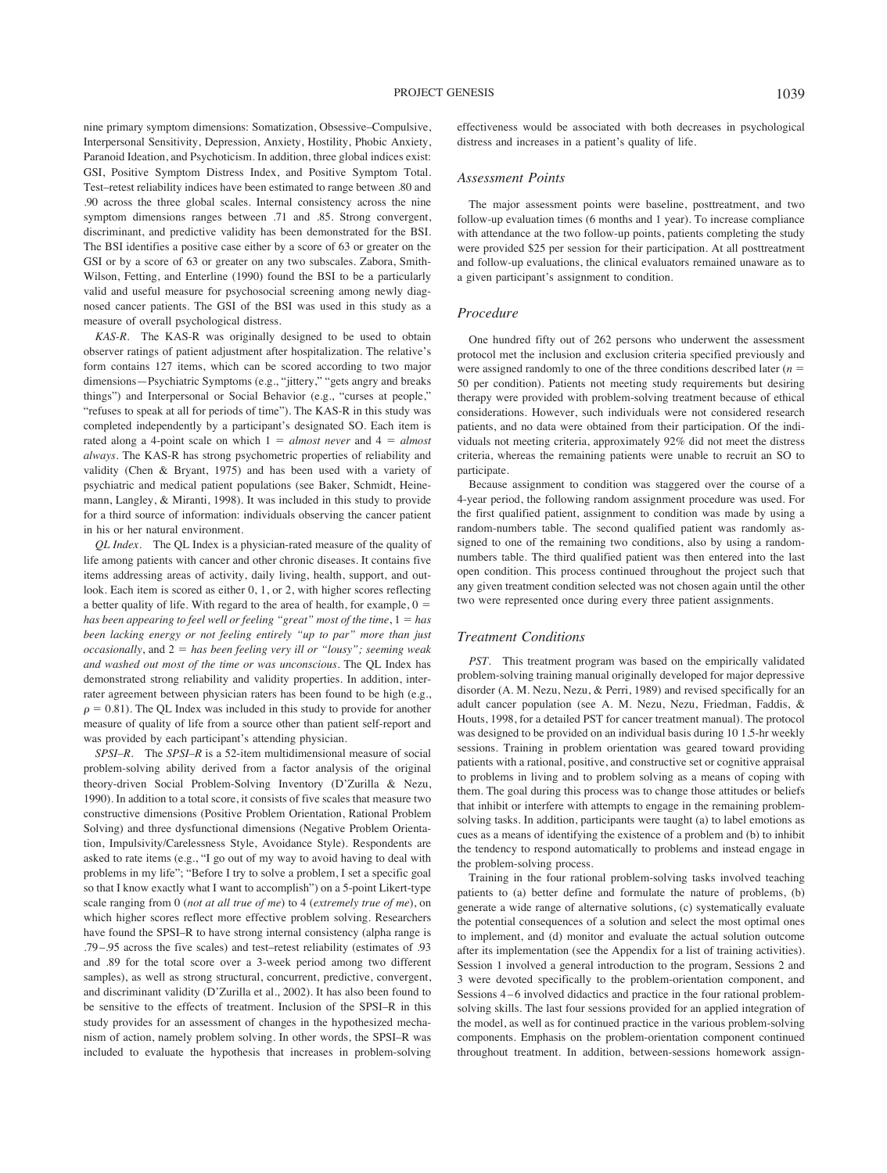nine primary symptom dimensions: Somatization, Obsessive–Compulsive, Interpersonal Sensitivity, Depression, Anxiety, Hostility, Phobic Anxiety, Paranoid Ideation, and Psychoticism. In addition, three global indices exist: GSI, Positive Symptom Distress Index, and Positive Symptom Total. Test–retest reliability indices have been estimated to range between .80 and .90 across the three global scales. Internal consistency across the nine symptom dimensions ranges between .71 and .85. Strong convergent, discriminant, and predictive validity has been demonstrated for the BSI. The BSI identifies a positive case either by a score of 63 or greater on the GSI or by a score of 63 or greater on any two subscales. Zabora, Smith-Wilson, Fetting, and Enterline (1990) found the BSI to be a particularly valid and useful measure for psychosocial screening among newly diagnosed cancer patients. The GSI of the BSI was used in this study as a measure of overall psychological distress.

*KAS-R.* The KAS-R was originally designed to be used to obtain observer ratings of patient adjustment after hospitalization. The relative's form contains 127 items, which can be scored according to two major dimensions—Psychiatric Symptoms (e.g., "jittery," "gets angry and breaks things") and Interpersonal or Social Behavior (e.g., "curses at people," "refuses to speak at all for periods of time"). The KAS-R in this study was completed independently by a participant's designated SO. Each item is rated along a 4-point scale on which  $1 = almost never$  and  $4 = almost$ *always*. The KAS-R has strong psychometric properties of reliability and validity (Chen & Bryant, 1975) and has been used with a variety of psychiatric and medical patient populations (see Baker, Schmidt, Heinemann, Langley, & Miranti, 1998). It was included in this study to provide for a third source of information: individuals observing the cancer patient in his or her natural environment.

*QL Index.* The QL Index is a physician-rated measure of the quality of life among patients with cancer and other chronic diseases. It contains five items addressing areas of activity, daily living, health, support, and outlook. Each item is scored as either 0, 1, or 2, with higher scores reflecting a better quality of life. With regard to the area of health, for example,  $0 =$ *has been appearing to feel well or feeling "great" most of the time*,  $1 = has$ *been lacking energy or not feeling entirely "up to par" more than just occasionally*, and 2 ! *has been feeling very ill or "lousy"; seeming weak and washed out most of the time or was unconscious*. The QL Index has demonstrated strong reliability and validity properties. In addition, interrater agreement between physician raters has been found to be high (e.g.,  $\rho = 0.81$ ). The QL Index was included in this study to provide for another measure of quality of life from a source other than patient self-report and was provided by each participant's attending physician.

*SPSI–R.* The *SPSI–R* is a 52-item multidimensional measure of social problem-solving ability derived from a factor analysis of the original theory-driven Social Problem-Solving Inventory (D'Zurilla & Nezu, 1990). In addition to a total score, it consists of five scales that measure two constructive dimensions (Positive Problem Orientation, Rational Problem Solving) and three dysfunctional dimensions (Negative Problem Orientation, Impulsivity/Carelessness Style, Avoidance Style). Respondents are asked to rate items (e.g., "I go out of my way to avoid having to deal with problems in my life"; "Before I try to solve a problem, I set a specific goal so that I know exactly what I want to accomplish") on a 5-point Likert-type scale ranging from 0 (*not at all true of me*) to 4 (*extremely true of me*), on which higher scores reflect more effective problem solving. Researchers have found the SPSI–R to have strong internal consistency (alpha range is .79–.95 across the five scales) and test–retest reliability (estimates of .93 and .89 for the total score over a 3-week period among two different samples), as well as strong structural, concurrent, predictive, convergent, and discriminant validity (D'Zurilla et al., 2002). It has also been found to be sensitive to the effects of treatment. Inclusion of the SPSI–R in this study provides for an assessment of changes in the hypothesized mechanism of action, namely problem solving. In other words, the SPSI–R was included to evaluate the hypothesis that increases in problem-solving

effectiveness would be associated with both decreases in psychological distress and increases in a patient's quality of life.

#### *Assessment Points*

The major assessment points were baseline, posttreatment, and two follow-up evaluation times (6 months and 1 year). To increase compliance with attendance at the two follow-up points, patients completing the study were provided \$25 per session for their participation. At all posttreatment and follow-up evaluations, the clinical evaluators remained unaware as to a given participant's assignment to condition.

#### *Procedure*

One hundred fifty out of 262 persons who underwent the assessment protocol met the inclusion and exclusion criteria specified previously and were assigned randomly to one of the three conditions described later  $(n =$ 50 per condition). Patients not meeting study requirements but desiring therapy were provided with problem-solving treatment because of ethical considerations. However, such individuals were not considered research patients, and no data were obtained from their participation. Of the individuals not meeting criteria, approximately 92% did not meet the distress criteria, whereas the remaining patients were unable to recruit an SO to participate.

Because assignment to condition was staggered over the course of a 4-year period, the following random assignment procedure was used. For the first qualified patient, assignment to condition was made by using a random-numbers table. The second qualified patient was randomly assigned to one of the remaining two conditions, also by using a randomnumbers table. The third qualified patient was then entered into the last open condition. This process continued throughout the project such that any given treatment condition selected was not chosen again until the other two were represented once during every three patient assignments.

## *Treatment Conditions*

*PST.* This treatment program was based on the empirically validated problem-solving training manual originally developed for major depressive disorder (A. M. Nezu, Nezu, & Perri, 1989) and revised specifically for an adult cancer population (see A. M. Nezu, Nezu, Friedman, Faddis, & Houts, 1998, for a detailed PST for cancer treatment manual). The protocol was designed to be provided on an individual basis during 10 1.5-hr weekly sessions. Training in problem orientation was geared toward providing patients with a rational, positive, and constructive set or cognitive appraisal to problems in living and to problem solving as a means of coping with them. The goal during this process was to change those attitudes or beliefs that inhibit or interfere with attempts to engage in the remaining problemsolving tasks. In addition, participants were taught (a) to label emotions as cues as a means of identifying the existence of a problem and (b) to inhibit the tendency to respond automatically to problems and instead engage in the problem-solving process.

Training in the four rational problem-solving tasks involved teaching patients to (a) better define and formulate the nature of problems, (b) generate a wide range of alternative solutions, (c) systematically evaluate the potential consequences of a solution and select the most optimal ones to implement, and (d) monitor and evaluate the actual solution outcome after its implementation (see the Appendix for a list of training activities). Session 1 involved a general introduction to the program, Sessions 2 and 3 were devoted specifically to the problem-orientation component, and Sessions 4–6 involved didactics and practice in the four rational problemsolving skills. The last four sessions provided for an applied integration of the model, as well as for continued practice in the various problem-solving components. Emphasis on the problem-orientation component continued throughout treatment. In addition, between-sessions homework assign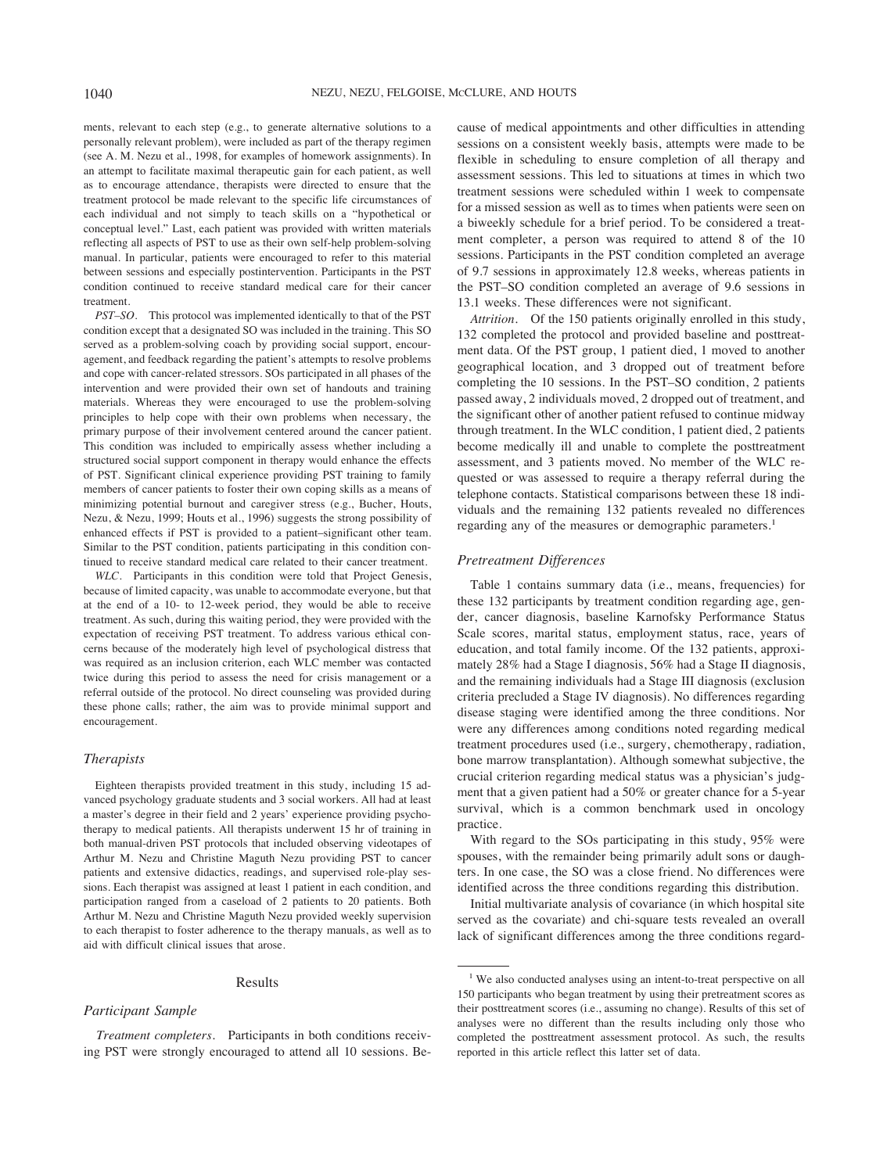ments, relevant to each step (e.g., to generate alternative solutions to a personally relevant problem), were included as part of the therapy regimen (see A. M. Nezu et al., 1998, for examples of homework assignments). In an attempt to facilitate maximal therapeutic gain for each patient, as well as to encourage attendance, therapists were directed to ensure that the treatment protocol be made relevant to the specific life circumstances of each individual and not simply to teach skills on a "hypothetical or conceptual level." Last, each patient was provided with written materials reflecting all aspects of PST to use as their own self-help problem-solving manual. In particular, patients were encouraged to refer to this material between sessions and especially postintervention. Participants in the PST condition continued to receive standard medical care for their cancer treatment.

*PST–SO.* This protocol was implemented identically to that of the PST condition except that a designated SO was included in the training. This SO served as a problem-solving coach by providing social support, encouragement, and feedback regarding the patient's attempts to resolve problems and cope with cancer-related stressors. SOs participated in all phases of the intervention and were provided their own set of handouts and training materials. Whereas they were encouraged to use the problem-solving principles to help cope with their own problems when necessary, the primary purpose of their involvement centered around the cancer patient. This condition was included to empirically assess whether including a structured social support component in therapy would enhance the effects of PST. Significant clinical experience providing PST training to family members of cancer patients to foster their own coping skills as a means of minimizing potential burnout and caregiver stress (e.g., Bucher, Houts, Nezu, & Nezu, 1999; Houts et al., 1996) suggests the strong possibility of enhanced effects if PST is provided to a patient–significant other team. Similar to the PST condition, patients participating in this condition continued to receive standard medical care related to their cancer treatment.

WLC. Participants in this condition were told that Project Genesis, because of limited capacity, was unable to accommodate everyone, but that at the end of a 10- to 12-week period, they would be able to receive treatment. As such, during this waiting period, they were provided with the expectation of receiving PST treatment. To address various ethical concerns because of the moderately high level of psychological distress that was required as an inclusion criterion, each WLC member was contacted twice during this period to assess the need for crisis management or a referral outside of the protocol. No direct counseling was provided during these phone calls; rather, the aim was to provide minimal support and encouragement.

#### *Therapists*

Eighteen therapists provided treatment in this study, including 15 advanced psychology graduate students and 3 social workers. All had at least a master's degree in their field and 2 years' experience providing psychotherapy to medical patients. All therapists underwent 15 hr of training in both manual-driven PST protocols that included observing videotapes of Arthur M. Nezu and Christine Maguth Nezu providing PST to cancer patients and extensive didactics, readings, and supervised role-play sessions. Each therapist was assigned at least 1 patient in each condition, and participation ranged from a caseload of 2 patients to 20 patients. Both Arthur M. Nezu and Christine Maguth Nezu provided weekly supervision to each therapist to foster adherence to the therapy manuals, as well as to aid with difficult clinical issues that arose.

#### Results

#### *Participant Sample*

*Treatment completers.* Participants in both conditions receiving PST were strongly encouraged to attend all 10 sessions. Because of medical appointments and other difficulties in attending sessions on a consistent weekly basis, attempts were made to be flexible in scheduling to ensure completion of all therapy and assessment sessions. This led to situations at times in which two treatment sessions were scheduled within 1 week to compensate for a missed session as well as to times when patients were seen on a biweekly schedule for a brief period. To be considered a treatment completer, a person was required to attend 8 of the 10 sessions. Participants in the PST condition completed an average of 9.7 sessions in approximately 12.8 weeks, whereas patients in the PST–SO condition completed an average of 9.6 sessions in 13.1 weeks. These differences were not significant.

*Attrition.* Of the 150 patients originally enrolled in this study, 132 completed the protocol and provided baseline and posttreatment data. Of the PST group, 1 patient died, 1 moved to another geographical location, and 3 dropped out of treatment before completing the 10 sessions. In the PST–SO condition, 2 patients passed away, 2 individuals moved, 2 dropped out of treatment, and the significant other of another patient refused to continue midway through treatment. In the WLC condition, 1 patient died, 2 patients become medically ill and unable to complete the posttreatment assessment, and 3 patients moved. No member of the WLC requested or was assessed to require a therapy referral during the telephone contacts. Statistical comparisons between these 18 individuals and the remaining 132 patients revealed no differences regarding any of the measures or demographic parameters.<sup>1</sup>

## *Pretreatment Differences*

Table 1 contains summary data (i.e., means, frequencies) for these 132 participants by treatment condition regarding age, gender, cancer diagnosis, baseline Karnofsky Performance Status Scale scores, marital status, employment status, race, years of education, and total family income. Of the 132 patients, approximately 28% had a Stage I diagnosis, 56% had a Stage II diagnosis, and the remaining individuals had a Stage III diagnosis (exclusion criteria precluded a Stage IV diagnosis). No differences regarding disease staging were identified among the three conditions. Nor were any differences among conditions noted regarding medical treatment procedures used (i.e., surgery, chemotherapy, radiation, bone marrow transplantation). Although somewhat subjective, the crucial criterion regarding medical status was a physician's judgment that a given patient had a 50% or greater chance for a 5-year survival, which is a common benchmark used in oncology practice.

With regard to the SOs participating in this study, 95% were spouses, with the remainder being primarily adult sons or daughters. In one case, the SO was a close friend. No differences were identified across the three conditions regarding this distribution.

Initial multivariate analysis of covariance (in which hospital site served as the covariate) and chi-square tests revealed an overall lack of significant differences among the three conditions regard-

<sup>&</sup>lt;sup>1</sup> We also conducted analyses using an intent-to-treat perspective on all 150 participants who began treatment by using their pretreatment scores as their posttreatment scores (i.e., assuming no change). Results of this set of analyses were no different than the results including only those who completed the posttreatment assessment protocol. As such, the results reported in this article reflect this latter set of data.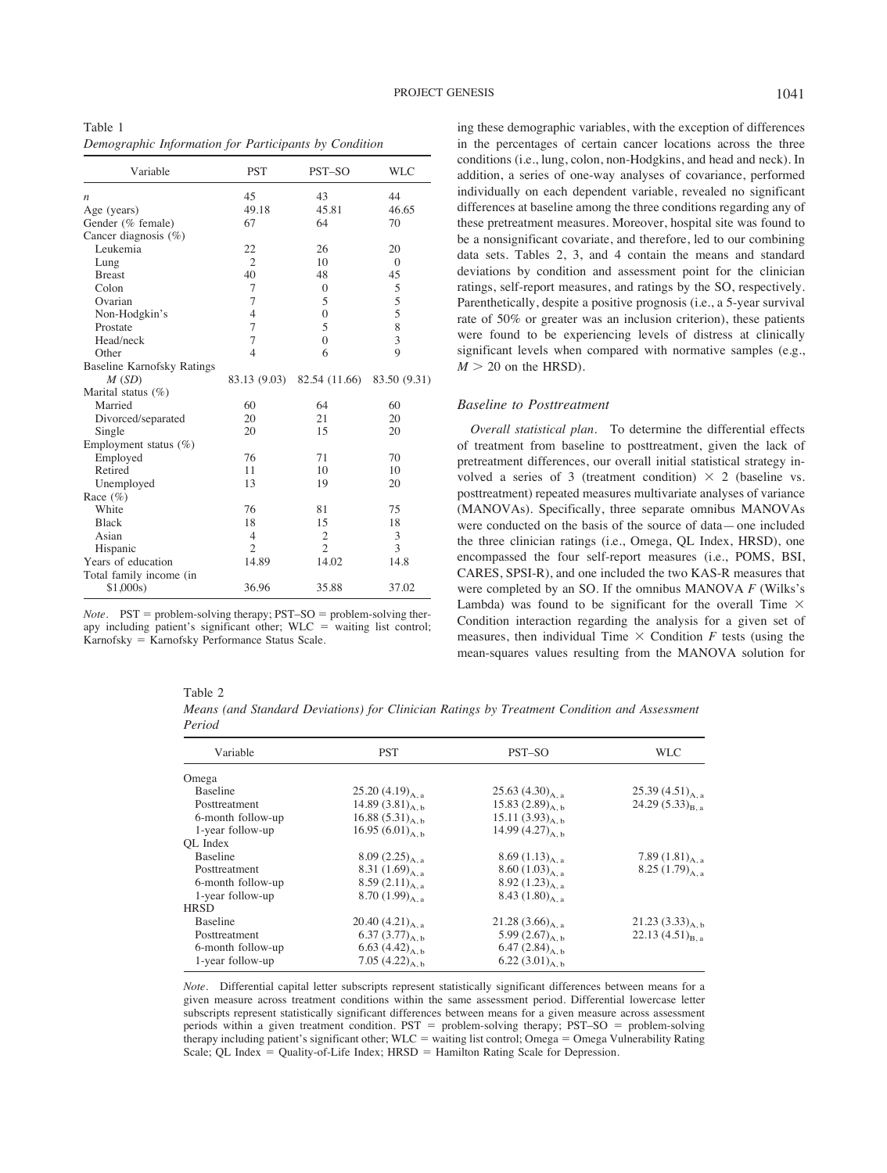Table 1 *Demographic Information for Participants by Condition*

| Variable                          | <b>PST</b>     | PST-SO         | WLC                     |
|-----------------------------------|----------------|----------------|-------------------------|
| n                                 | 45             | 43             | 44                      |
| Age (years)                       | 49.18          | 45.81          | 46.65                   |
| Gender (% female)                 | 67             | 64             | 70                      |
| Cancer diagnosis $(\%)$           |                |                |                         |
| Leukemia                          | 22             | 26             | 20                      |
| Lung                              | $\overline{2}$ | 10             | $\Omega$                |
| <b>Breast</b>                     | 40             | 48             | 45                      |
| Colon                             | 7              | $\Omega$       | 5                       |
| Ovarian                           | 7              | 5              | 5                       |
| Non-Hodgkin's                     | $\overline{4}$ | $\theta$       | 5                       |
| Prostate                          | 7              | 5              | 8                       |
| Head/neck                         | 7              | $\theta$       | $\overline{\mathbf{3}}$ |
| Other                             | $\overline{4}$ | 6              | $\overline{Q}$          |
| <b>Baseline Karnofsky Ratings</b> |                |                |                         |
| M(SD)                             | 83.13 (9.03)   | 82.54 (11.66)  | 83.50 (9.31)            |
| Marital status (%)                |                |                |                         |
| Married                           | 60             | 64             | 60                      |
| Divorced/separated                | 20             | 21             | 20                      |
| Single                            | 20             | 15             | 20                      |
| Employment status $(\%)$          |                |                |                         |
| Employed                          | 76             | 71             | 70                      |
| Retired                           | 11             | 10             | 10                      |
| Unemployed                        | 13             | 19             | 20                      |
| Race $(\%)$                       |                |                |                         |
| White                             | 76             | 81             | 75                      |
| <b>Black</b>                      | 18             | 15             | 18                      |
| Asian                             | 4              | $\mathfrak{2}$ | 3                       |
| Hispanic                          | $\overline{2}$ | $\mathfrak{D}$ | 3                       |
| Years of education                | 14.89          | 14.02          | 14.8                    |
| Total family income (in           |                |                |                         |
| \$1,000s)                         | 36.96          | 35.88          | 37.02                   |

*Note.*  $PST =$  problem-solving therapy;  $PST - SO =$  problem-solving therapy including patient's significant other;  $WLC$  = waiting list control; Karnofsky = Karnofsky Performance Status Scale.

ing these demographic variables, with the exception of differences in the percentages of certain cancer locations across the three conditions (i.e., lung, colon, non-Hodgkins, and head and neck). In addition, a series of one-way analyses of covariance, performed individually on each dependent variable, revealed no significant differences at baseline among the three conditions regarding any of these pretreatment measures. Moreover, hospital site was found to be a nonsignificant covariate, and therefore, led to our combining data sets. Tables 2, 3, and 4 contain the means and standard deviations by condition and assessment point for the clinician ratings, self-report measures, and ratings by the SO, respectively. Parenthetically, despite a positive prognosis (i.e., a 5-year survival rate of 50% or greater was an inclusion criterion), these patients were found to be experiencing levels of distress at clinically significant levels when compared with normative samples (e.g.,  $M > 20$  on the HRSD).

## *Baseline to Posttreatment*

*Overall statistical plan.* To determine the differential effects of treatment from baseline to posttreatment, given the lack of pretreatment differences, our overall initial statistical strategy involved a series of 3 (treatment condition)  $\times$  2 (baseline vs. posttreatment) repeated measures multivariate analyses of variance (MANOVAs). Specifically, three separate omnibus MANOVAs were conducted on the basis of the source of data—one included the three clinician ratings (i.e., Omega, QL Index, HRSD), one encompassed the four self-report measures (i.e., POMS, BSI, CARES, SPSI-R), and one included the two KAS-R measures that were completed by an SO. If the omnibus MANOVA *F* (Wilks's Lambda) was found to be significant for the overall Time  $\times$ Condition interaction regarding the analysis for a given set of measures, then individual Time  $\times$  Condition *F* tests (using the mean-squares values resulting from the MANOVA solution for

|--|--|

*Means (and Standard Deviations) for Clinician Ratings by Treatment Condition and Assessment Period*

| Variable          | <b>PST</b>            | PST-SO               | <b>WLC</b>           |
|-------------------|-----------------------|----------------------|----------------------|
| Omega             |                       |                      |                      |
| <b>Baseline</b>   | 25.20 $(4.19)_{A, a}$ | 25.63 $(4.30)_{A,a}$ | 25.39 $(4.51)_{A,a}$ |
| Posttreatment     | 14.89 $(3.81)_{A,b}$  | 15.83 $(2.89)_{A,b}$ | 24.29 $(5.33)_{B,a}$ |
| 6-month follow-up | 16.88 $(5.31)_{A,b}$  | 15.11 $(3.93)_{A,b}$ |                      |
| 1-year follow-up  | 16.95 $(6.01)_{A,b}$  | 14.99 $(4.27)_{A,b}$ |                      |
| OL Index          |                       |                      |                      |
| Baseline          | $8.09(2.25)_{A,a}$    | 8.69 $(1.13)_{A.a.}$ | 7.89 $(1.81)_{A,a}$  |
| Posttreatment     | 8.31 $(1.69)_{A,a}$   | 8.60 $(1.03)_{A.a.}$ | 8.25 $(1.79)_{A,a}$  |
| 6-month follow-up | 8.59 $(2.11)_{A,a}$   | 8.92 $(1.23)_{A,a}$  |                      |
| 1-year follow-up  | 8.70 $(1.99)_{A,a}$   | 8.43 $(1.80)_{A,a}$  |                      |
| <b>HRSD</b>       |                       |                      |                      |
| <b>Baseline</b>   | 20.40 $(4.21)_{A_a}$  | 21.28 $(3.66)_{A,a}$ | 21.23 $(3.33)_{A,b}$ |
| Posttreatment     | 6.37 $(3.77)_{A,b}$   | 5.99 $(2.67)_{A,b}$  | 22.13 $(4.51)_{B,a}$ |
| 6-month follow-up | 6.63 $(4.42)_{A,b}$   | 6.47 $(2.84)_{A, b}$ |                      |
| 1-year follow-up  | 7.05 $(4.22)_{A,b}$   | 6.22 $(3.01)_{A, b}$ |                      |

*Note.* Differential capital letter subscripts represent statistically significant differences between means for a given measure across treatment conditions within the same assessment period. Differential lowercase letter subscripts represent statistically significant differences between means for a given measure across assessment periods within a given treatment condition.  $PST =$  problem-solving therapy;  $PST - SO =$  problem-solving therapy including patient's significant other; WLC = waiting list control; Omega = Omega Vulnerability Rating Scale; QL Index  $=$  Quality-of-Life Index; HRSD  $=$  Hamilton Rating Scale for Depression.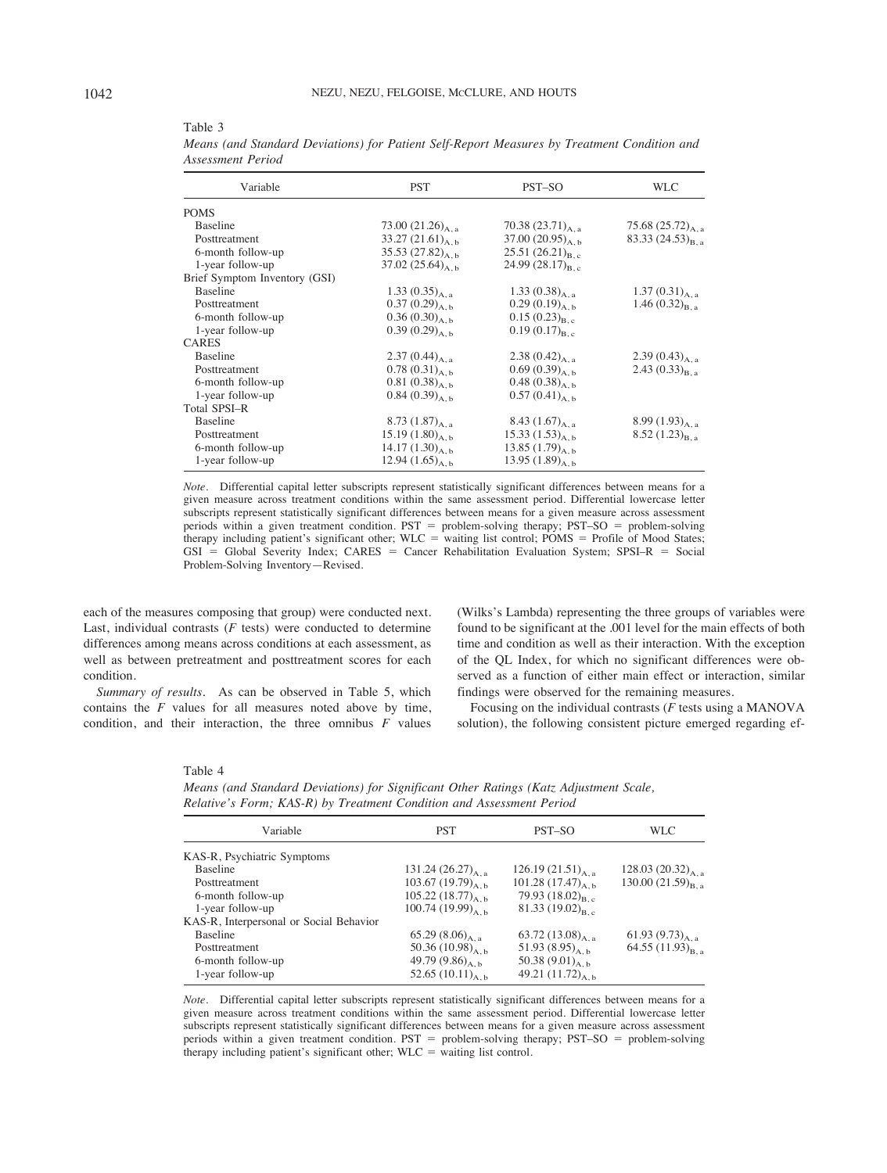| Variable                      | <b>PST</b>             | PST-SO                 | <b>WLC</b>            |
|-------------------------------|------------------------|------------------------|-----------------------|
| <b>POMS</b>                   |                        |                        |                       |
| Baseline                      | 73.00 $(21.26)_{A, a}$ | 70.38 $(23.71)_{A,a}$  | 75.68 $(25.72)_{A,a}$ |
| Posttreatment                 | 33.27 $(21.61)_{A,b}$  | 37.00 $(20.95)_{A, b}$ | 83.33 $(24.53)_{B,a}$ |
| 6-month follow-up             | 35.53 $(27.82)_{A, b}$ | 25.51 $(26.21)_{B,c}$  |                       |
| 1-year follow-up              | 37.02 $(25.64)_{A, b}$ | 24.99 $(28.17)_{B,c}$  |                       |
| Brief Symptom Inventory (GSI) |                        |                        |                       |
| <b>Baseline</b>               | 1.33 $(0.35)_{A, a}$   | 1.33 $(0.38)_{A,a}$    | 1.37 $(0.31)_{A, a}$  |
| Posttreatment                 | $0.37(0.29)_{A, b}$    | $0.29(0.19)_{A,b}$     | 1.46 $(0.32)_{B,a}$   |
| 6-month follow-up             | $0.36(0.30)_{A, b}$    | $0.15(0.23)_{B,c}$     |                       |
| 1-year follow-up              | $0.39(0.29)_{A, b}$    | $0.19(0.17)_{B,c}$     |                       |
| <b>CARES</b>                  |                        |                        |                       |
| Baseline                      | 2.37 $(0.44)_{A,a}$    | 2.38 $(0.42)_{A.a.}$   | 2.39 $(0.43)_{A,a}$   |
| Posttreatment                 | $0.78(0.31)_{A,b}$     | $0.69(0.39)_{A, b}$    | 2.43 $(0.33)_{B,a}$   |
| 6-month follow-up             | $0.81(0.38)_{A,b}$     | 0.48 $(0.38)_{A,b}$    |                       |
| 1-year follow-up              | $0.84(0.39)_{A, b}$    | $0.57(0.41)_{A, b}$    |                       |
| <b>Total SPSI-R</b>           |                        |                        |                       |
| Baseline                      | 8.73 $(1.87)_{A,a}$    | 8.43 $(1.67)_{A.a.}$   | 8.99 $(1.93)_{A,a}$   |
| Posttreatment                 | 15.19 $(1.80)_{A, b}$  | 15.33 $(1.53)_{A,b}$   | $8.52(1.23)_{B,a}$    |
| 6-month follow-up             | 14.17 $(1.30)_{A,b}$   | 13.85 $(1.79)_{A,b}$   |                       |
| 1-year follow-up              | 12.94 $(1.65)_{A,b}$   | 13.95 $(1.89)_{A, b}$  |                       |

Table 3 *Means (and Standard Deviations) for Patient Self-Report Measures by Treatment Condition and Assessment Period*

*Note.* Differential capital letter subscripts represent statistically significant differences between means for a given measure across treatment conditions within the same assessment period. Differential lowercase letter subscripts represent statistically significant differences between means for a given measure across assessment periods within a given treatment condition. PST = problem-solving therapy; PST-SO = problem-solving therapy including patient's significant other; WLC = waiting list control; POMS = Profile of Mood States;  $GSI = Global$  Severity Index;  $CARES = Cancer Rehabilitation$  Evaluation System;  $SPSI-R = Social$ Problem-Solving Inventory—Revised.

each of the measures composing that group) were conducted next. Last, individual contrasts  $(F$  tests) were conducted to determine differences among means across conditions at each assessment, as well as between pretreatment and posttreatment scores for each condition.

*Summary of results.* As can be observed in Table 5, which contains the *F* values for all measures noted above by time, condition, and their interaction, the three omnibus *F* values

(Wilks's Lambda) representing the three groups of variables were found to be significant at the .001 level for the main effects of both time and condition as well as their interaction. With the exception of the QL Index, for which no significant differences were observed as a function of either main effect or interaction, similar findings were observed for the remaining measures.

Focusing on the individual contrasts (*F* tests using a MANOVA solution), the following consistent picture emerged regarding ef-

#### Table 4

*Means (and Standard Deviations) for Significant Other Ratings (Katz Adjustment Scale, Relative's Form; KAS-R) by Treatment Condition and Assessment Period*

| Variable                                | <b>PST</b>              | PST-SO                 | WLC                     |
|-----------------------------------------|-------------------------|------------------------|-------------------------|
| KAS-R, Psychiatric Symptoms             |                         |                        |                         |
| <b>Baseline</b>                         | 131.24 $(26.27)_{A, a}$ | 126.19 $(21.51)_{A,a}$ | 128.03 $(20.32)_{A,a}$  |
| Posttreatment                           | 103.67 $(19.79)_{A,b}$  | 101.28 $(17.47)_{A,b}$ | 130.00 $(21.59)_{B.a.}$ |
| 6-month follow-up                       | 105.22 $(18.77)_{A,b}$  | 79.93 $(18.02)_{B,c}$  |                         |
| 1-year follow-up                        | $100.74(19.99)_{A h}$   | 81.33 $(19.02)_{B,c}$  |                         |
| KAS-R, Interpersonal or Social Behavior |                         |                        |                         |
| Baseline                                | 65.29 $(8.06)_{A,a}$    | 63.72 $(13.08)_{A,a}$  | 61.93 $(9.73)_{A,a}$    |
| Posttreatment                           | 50.36 $(10.98)_{A,b}$   | 51.93 $(8.95)_{A,b}$   | 64.55 $(11.93)_{B,a}$   |
| 6-month follow-up                       | 49.79 $(9.86)_{A,b}$    | 50.38 $(9.01)_{A,b}$   |                         |
| 1-year follow-up                        | 52.65 $(10.11)_{A,b}$   | 49.21 $(11.72)_{A,b}$  |                         |

*Note.* Differential capital letter subscripts represent statistically significant differences between means for a given measure across treatment conditions within the same assessment period. Differential lowercase letter subscripts represent statistically significant differences between means for a given measure across assessment periods within a given treatment condition. PST = problem-solving therapy; PST-SO = problem-solving therapy including patient's significant other;  $W<sub>AC</sub>$  = waiting list control.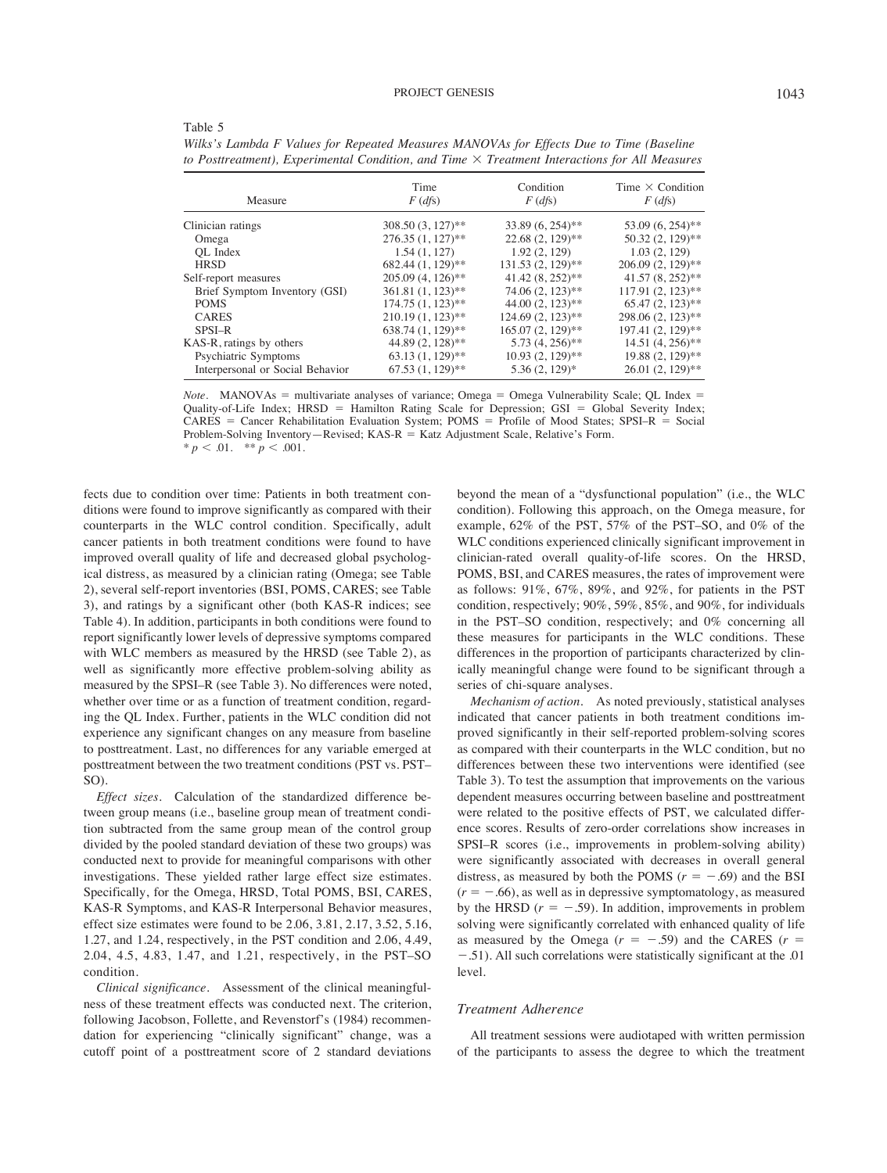| Measure                          | Time<br>$F$ (dfs)   | Condition<br>$F$ (dfs) | Time $\times$ Condition<br>$F$ (dfs) |
|----------------------------------|---------------------|------------------------|--------------------------------------|
| Clinician ratings                | 308.50 (3, 127)**   | $33.89(6, 254)$ **     | 53.09 (6, 254)**                     |
| Omega                            | $276.35(1, 127)$ ** | $22.68(2, 129)$ **     | 50.32 (2, 129)**                     |
| OL Index                         | 1.54(1, 127)        | 1.92(2, 129)           | 1.03(2, 129)                         |
| <b>HRSD</b>                      | 682.44 (1, 129)**   | $131.53(2, 129)$ **    | 206.09 (2, 129)**                    |
| Self-report measures             | $205.09(4, 126)$ ** | $41.42(8, 252)$ **     | $41.57(8, 252)$ **                   |
| Brief Symptom Inventory (GSI)    | $361.81(1, 123)$ ** | 74.06 (2, 123)**       | $117.91(2, 123)$ **                  |
| <b>POMS</b>                      | $174.75(1, 123)$ ** | $44.00(2, 123)$ **     | $65.47(2, 123)$ **                   |
| <b>CARES</b>                     | $210.19(1, 123)$ ** | $124.69(2, 123)$ **    | 298.06 (2, 123)**                    |
| SPSI-R                           | 638.74 (1, 129)**   | 165.07 (2, 129)**      | 197.41 (2, 129)**                    |
| KAS-R, ratings by others         | 44.89 (2, 128)**    | $5.73(4, 256)$ **      | $14.51(4, 256)$ **                   |
| Psychiatric Symptoms             | $63.13(1, 129)$ **  | $10.93(2, 129)$ **     | 19.88 (2, 129)**                     |
| Interpersonal or Social Behavior | $67.53(1, 129)$ **  | $5.36(2, 129)^*$       | $26.01(2, 129)$ **                   |
|                                  |                     |                        |                                      |

*Wilks's Lambda F Values for Repeated Measures MANOVAs for Effects Due to Time (Baseline to Posttreatment), Experimental Condition, and Time* # *Treatment Interactions for All Measures*

*Note.* MANOVAs = multivariate analyses of variance; Omega = Omega Vulnerability Scale; QL Index = Quality-of-Life Index; HRSD = Hamilton Rating Scale for Depression; GSI = Global Severity Index;  $CARES = Cancer Rehabilitation Evaluation System; POMS = Profile of Wood States; SPSI–R = Social$ Problem-Solving Inventory—Revised;  $KAS-R = Katz$  Adjustment Scale, Relative's Form. \*  $p < .01.$  \*\*  $p < .001.$ 

fects due to condition over time: Patients in both treatment conditions were found to improve significantly as compared with their counterparts in the WLC control condition. Specifically, adult cancer patients in both treatment conditions were found to have improved overall quality of life and decreased global psychological distress, as measured by a clinician rating (Omega; see Table 2), several self-report inventories (BSI, POMS, CARES; see Table 3), and ratings by a significant other (both KAS-R indices; see Table 4). In addition, participants in both conditions were found to report significantly lower levels of depressive symptoms compared with WLC members as measured by the HRSD (see Table 2), as well as significantly more effective problem-solving ability as measured by the SPSI–R (see Table 3). No differences were noted, whether over time or as a function of treatment condition, regarding the QL Index. Further, patients in the WLC condition did not experience any significant changes on any measure from baseline to posttreatment. Last, no differences for any variable emerged at posttreatment between the two treatment conditions (PST vs. PST– SO).

Table 5

*Effect sizes.* Calculation of the standardized difference between group means (i.e., baseline group mean of treatment condition subtracted from the same group mean of the control group divided by the pooled standard deviation of these two groups) was conducted next to provide for meaningful comparisons with other investigations. These yielded rather large effect size estimates. Specifically, for the Omega, HRSD, Total POMS, BSI, CARES, KAS-R Symptoms, and KAS-R Interpersonal Behavior measures, effect size estimates were found to be 2.06, 3.81, 2.17, 3.52, 5.16, 1.27, and 1.24, respectively, in the PST condition and 2.06, 4.49, 2.04, 4.5, 4.83, 1.47, and 1.21, respectively, in the PST–SO condition.

*Clinical significance.* Assessment of the clinical meaningfulness of these treatment effects was conducted next. The criterion, following Jacobson, Follette, and Revenstorf's (1984) recommendation for experiencing "clinically significant" change, was a cutoff point of a posttreatment score of 2 standard deviations beyond the mean of a "dysfunctional population" (i.e., the WLC condition). Following this approach, on the Omega measure, for example, 62% of the PST, 57% of the PST–SO, and 0% of the WLC conditions experienced clinically significant improvement in clinician-rated overall quality-of-life scores. On the HRSD, POMS, BSI, and CARES measures, the rates of improvement were as follows: 91%, 67%, 89%, and 92%, for patients in the PST condition, respectively; 90%, 59%, 85%, and 90%, for individuals in the PST–SO condition, respectively; and 0% concerning all these measures for participants in the WLC conditions. These differences in the proportion of participants characterized by clinically meaningful change were found to be significant through a series of chi-square analyses.

*Mechanism of action.* As noted previously, statistical analyses indicated that cancer patients in both treatment conditions improved significantly in their self-reported problem-solving scores as compared with their counterparts in the WLC condition, but no differences between these two interventions were identified (see Table 3). To test the assumption that improvements on the various dependent measures occurring between baseline and posttreatment were related to the positive effects of PST, we calculated difference scores. Results of zero-order correlations show increases in SPSI–R scores (i.e., improvements in problem-solving ability) were significantly associated with decreases in overall general distress, as measured by both the POMS  $(r = -.69)$  and the BSI  $(r = -.66)$ , as well as in depressive symptomatology, as measured by the HRSD  $(r = -.59)$ . In addition, improvements in problem solving were significantly correlated with enhanced quality of life as measured by the Omega  $(r = -.59)$  and the CARES  $(r =$  $-0.51$ ). All such correlations were statistically significant at the  $0.01$ level.

# *Treatment Adherence*

All treatment sessions were audiotaped with written permission of the participants to assess the degree to which the treatment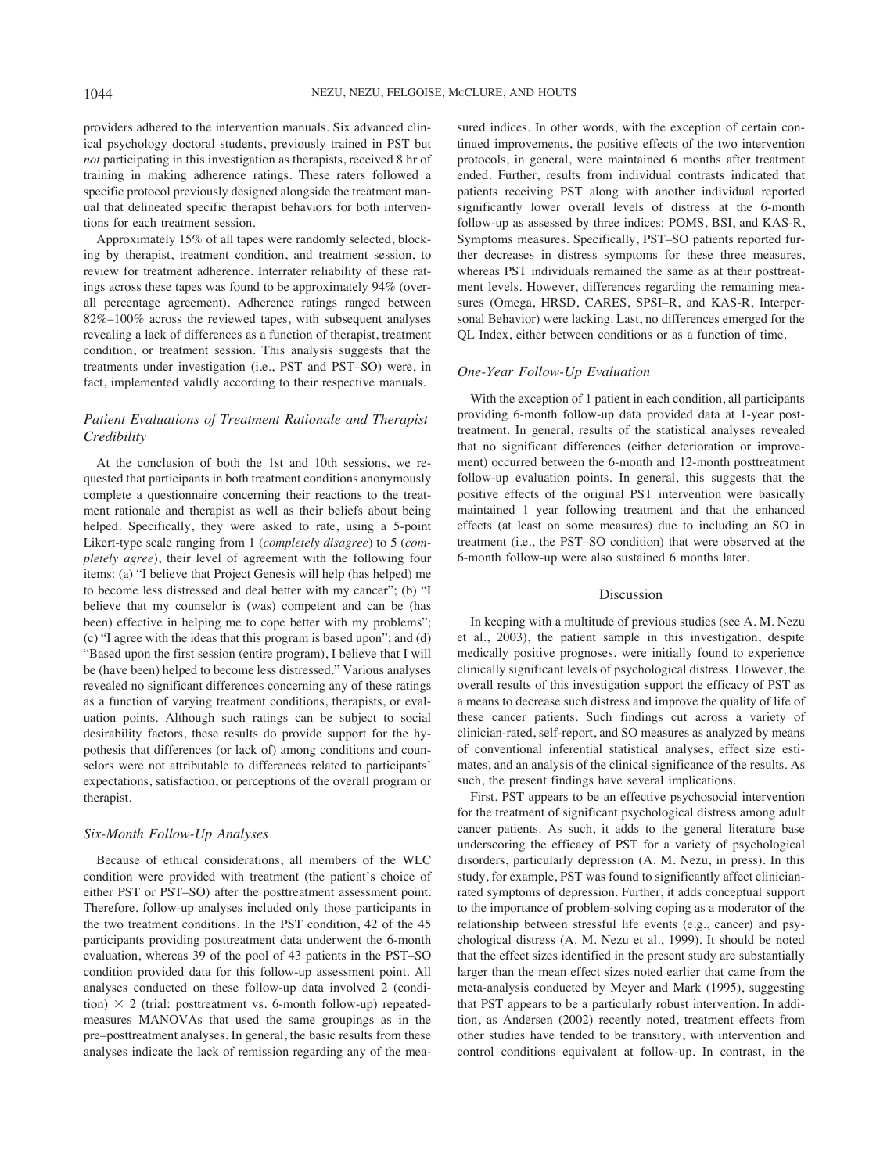providers adhered to the intervention manuals. Six advanced clinical psychology doctoral students, previously trained in PST but *not* participating in this investigation as therapists, received 8 hr of training in making adherence ratings. These raters followed a specific protocol previously designed alongside the treatment manual that delineated specific therapist behaviors for both interventions for each treatment session.

Approximately 15% of all tapes were randomly selected, blocking by therapist, treatment condition, and treatment session, to review for treatment adherence. Interrater reliability of these ratings across these tapes was found to be approximately 94% (overall percentage agreement). Adherence ratings ranged between 82%–100% across the reviewed tapes, with subsequent analyses revealing a lack of differences as a function of therapist, treatment condition, or treatment session. This analysis suggests that the treatments under investigation (i.e., PST and PST–SO) were, in fact, implemented validly according to their respective manuals.

# *Patient Evaluations of Treatment Rationale and Therapist Credibility*

At the conclusion of both the 1st and 10th sessions, we requested that participants in both treatment conditions anonymously complete a questionnaire concerning their reactions to the treatment rationale and therapist as well as their beliefs about being helped. Specifically, they were asked to rate, using a 5-point Likert-type scale ranging from 1 (*completely disagree*) to 5 (*completely agree*), their level of agreement with the following four items: (a) "I believe that Project Genesis will help (has helped) me to become less distressed and deal better with my cancer"; (b) "I believe that my counselor is (was) competent and can be (has been) effective in helping me to cope better with my problems"; (c) "I agree with the ideas that this program is based upon"; and (d) "Based upon the first session (entire program), I believe that I will be (have been) helped to become less distressed." Various analyses revealed no significant differences concerning any of these ratings as a function of varying treatment conditions, therapists, or evaluation points. Although such ratings can be subject to social desirability factors, these results do provide support for the hypothesis that differences (or lack of) among conditions and counselors were not attributable to differences related to participants' expectations, satisfaction, or perceptions of the overall program or therapist.

# *Six-Month Follow-Up Analyses*

Because of ethical considerations, all members of the WLC condition were provided with treatment (the patient's choice of either PST or PST–SO) after the posttreatment assessment point. Therefore, follow-up analyses included only those participants in the two treatment conditions. In the PST condition, 42 of the 45 participants providing posttreatment data underwent the 6-month evaluation, whereas 39 of the pool of 43 patients in the PST–SO condition provided data for this follow-up assessment point. All analyses conducted on these follow-up data involved 2 (condition)  $\times$  2 (trial: posttreatment vs. 6-month follow-up) repeatedmeasures MANOVAs that used the same groupings as in the pre–posttreatment analyses. In general, the basic results from these analyses indicate the lack of remission regarding any of the measured indices. In other words, with the exception of certain continued improvements, the positive effects of the two intervention protocols, in general, were maintained 6 months after treatment ended. Further, results from individual contrasts indicated that patients receiving PST along with another individual reported significantly lower overall levels of distress at the 6-month follow-up as assessed by three indices: POMS, BSI, and KAS-R, Symptoms measures. Specifically, PST–SO patients reported further decreases in distress symptoms for these three measures, whereas PST individuals remained the same as at their posttreatment levels. However, differences regarding the remaining measures (Omega, HRSD, CARES, SPSI–R, and KAS-R, Interpersonal Behavior) were lacking. Last, no differences emerged for the QL Index, either between conditions or as a function of time.

# *One-Year Follow-Up Evaluation*

With the exception of 1 patient in each condition, all participants providing 6-month follow-up data provided data at 1-year posttreatment. In general, results of the statistical analyses revealed that no significant differences (either deterioration or improvement) occurred between the 6-month and 12-month posttreatment follow-up evaluation points. In general, this suggests that the positive effects of the original PST intervention were basically maintained 1 year following treatment and that the enhanced effects (at least on some measures) due to including an SO in treatment (i.e., the PST–SO condition) that were observed at the 6-month follow-up were also sustained 6 months later.

# Discussion

In keeping with a multitude of previous studies (see A. M. Nezu et al., 2003), the patient sample in this investigation, despite medically positive prognoses, were initially found to experience clinically significant levels of psychological distress. However, the overall results of this investigation support the efficacy of PST as a means to decrease such distress and improve the quality of life of these cancer patients. Such findings cut across a variety of clinician-rated, self-report, and SO measures as analyzed by means of conventional inferential statistical analyses, effect size estimates, and an analysis of the clinical significance of the results. As such, the present findings have several implications.

First, PST appears to be an effective psychosocial intervention for the treatment of significant psychological distress among adult cancer patients. As such, it adds to the general literature base underscoring the efficacy of PST for a variety of psychological disorders, particularly depression (A. M. Nezu, in press). In this study, for example, PST was found to significantly affect clinicianrated symptoms of depression. Further, it adds conceptual support to the importance of problem-solving coping as a moderator of the relationship between stressful life events (e.g., cancer) and psychological distress (A. M. Nezu et al., 1999). It should be noted that the effect sizes identified in the present study are substantially larger than the mean effect sizes noted earlier that came from the meta-analysis conducted by Meyer and Mark (1995), suggesting that PST appears to be a particularly robust intervention. In addition, as Andersen (2002) recently noted, treatment effects from other studies have tended to be transitory, with intervention and control conditions equivalent at follow-up. In contrast, in the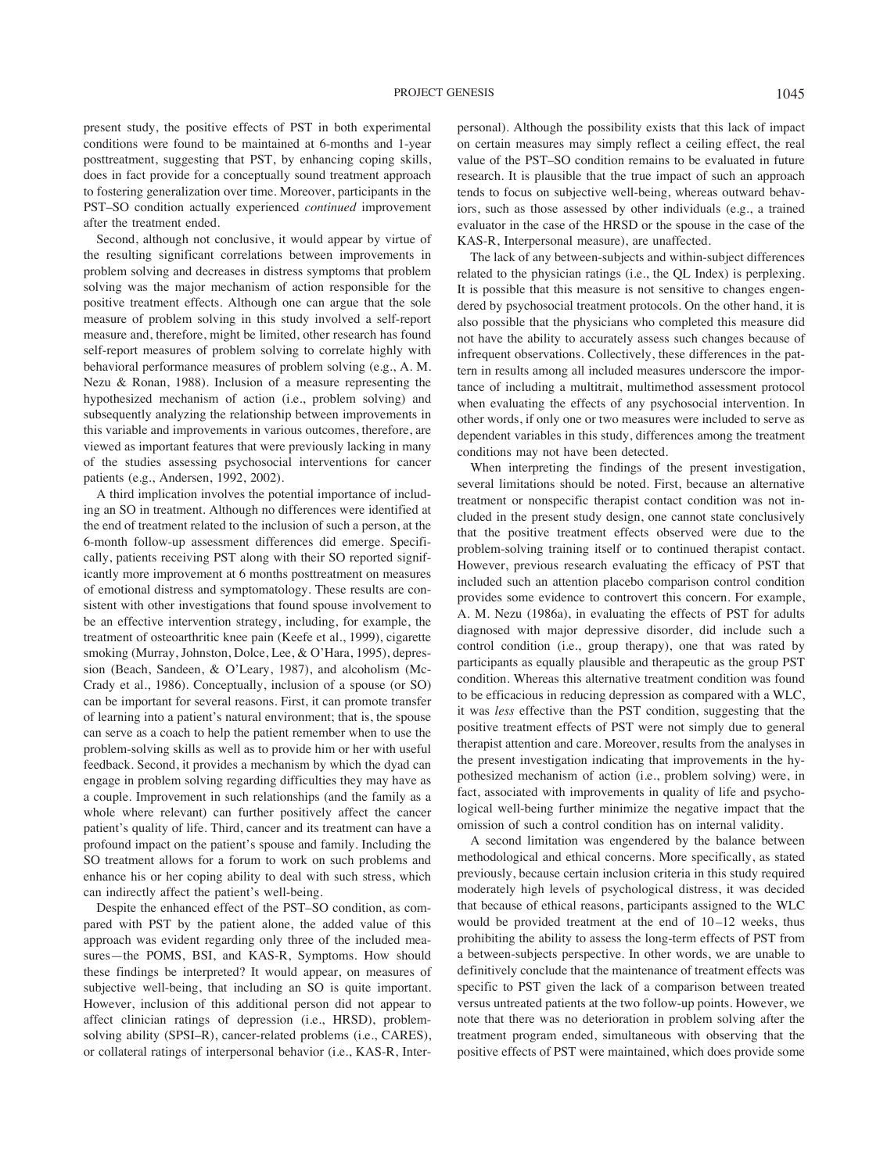present study, the positive effects of PST in both experimental conditions were found to be maintained at 6-months and 1-year posttreatment, suggesting that PST, by enhancing coping skills, does in fact provide for a conceptually sound treatment approach to fostering generalization over time. Moreover, participants in the PST–SO condition actually experienced *continued* improvement after the treatment ended.

Second, although not conclusive, it would appear by virtue of the resulting significant correlations between improvements in problem solving and decreases in distress symptoms that problem solving was the major mechanism of action responsible for the positive treatment effects. Although one can argue that the sole measure of problem solving in this study involved a self-report measure and, therefore, might be limited, other research has found self-report measures of problem solving to correlate highly with behavioral performance measures of problem solving (e.g., A. M. Nezu & Ronan, 1988). Inclusion of a measure representing the hypothesized mechanism of action (i.e., problem solving) and subsequently analyzing the relationship between improvements in this variable and improvements in various outcomes, therefore, are viewed as important features that were previously lacking in many of the studies assessing psychosocial interventions for cancer patients (e.g., Andersen, 1992, 2002).

A third implication involves the potential importance of including an SO in treatment. Although no differences were identified at the end of treatment related to the inclusion of such a person, at the 6-month follow-up assessment differences did emerge. Specifically, patients receiving PST along with their SO reported significantly more improvement at 6 months posttreatment on measures of emotional distress and symptomatology. These results are consistent with other investigations that found spouse involvement to be an effective intervention strategy, including, for example, the treatment of osteoarthritic knee pain (Keefe et al., 1999), cigarette smoking (Murray, Johnston, Dolce, Lee, & O'Hara, 1995), depression (Beach, Sandeen, & O'Leary, 1987), and alcoholism (Mc-Crady et al., 1986). Conceptually, inclusion of a spouse (or SO) can be important for several reasons. First, it can promote transfer of learning into a patient's natural environment; that is, the spouse can serve as a coach to help the patient remember when to use the problem-solving skills as well as to provide him or her with useful feedback. Second, it provides a mechanism by which the dyad can engage in problem solving regarding difficulties they may have as a couple. Improvement in such relationships (and the family as a whole where relevant) can further positively affect the cancer patient's quality of life. Third, cancer and its treatment can have a profound impact on the patient's spouse and family. Including the SO treatment allows for a forum to work on such problems and enhance his or her coping ability to deal with such stress, which can indirectly affect the patient's well-being.

Despite the enhanced effect of the PST–SO condition, as compared with PST by the patient alone, the added value of this approach was evident regarding only three of the included measures—the POMS, BSI, and KAS-R, Symptoms. How should these findings be interpreted? It would appear, on measures of subjective well-being, that including an SO is quite important. However, inclusion of this additional person did not appear to affect clinician ratings of depression (i.e., HRSD), problemsolving ability (SPSI–R), cancer-related problems (i.e., CARES), or collateral ratings of interpersonal behavior (i.e., KAS-R, Interpersonal). Although the possibility exists that this lack of impact on certain measures may simply reflect a ceiling effect, the real value of the PST–SO condition remains to be evaluated in future research. It is plausible that the true impact of such an approach tends to focus on subjective well-being, whereas outward behaviors, such as those assessed by other individuals (e.g., a trained evaluator in the case of the HRSD or the spouse in the case of the KAS-R, Interpersonal measure), are unaffected.

The lack of any between-subjects and within-subject differences related to the physician ratings (i.e., the QL Index) is perplexing. It is possible that this measure is not sensitive to changes engendered by psychosocial treatment protocols. On the other hand, it is also possible that the physicians who completed this measure did not have the ability to accurately assess such changes because of infrequent observations. Collectively, these differences in the pattern in results among all included measures underscore the importance of including a multitrait, multimethod assessment protocol when evaluating the effects of any psychosocial intervention. In other words, if only one or two measures were included to serve as dependent variables in this study, differences among the treatment conditions may not have been detected.

When interpreting the findings of the present investigation, several limitations should be noted. First, because an alternative treatment or nonspecific therapist contact condition was not included in the present study design, one cannot state conclusively that the positive treatment effects observed were due to the problem-solving training itself or to continued therapist contact. However, previous research evaluating the efficacy of PST that included such an attention placebo comparison control condition provides some evidence to controvert this concern. For example, A. M. Nezu (1986a), in evaluating the effects of PST for adults diagnosed with major depressive disorder, did include such a control condition (i.e., group therapy), one that was rated by participants as equally plausible and therapeutic as the group PST condition. Whereas this alternative treatment condition was found to be efficacious in reducing depression as compared with a WLC, it was *less* effective than the PST condition, suggesting that the positive treatment effects of PST were not simply due to general therapist attention and care. Moreover, results from the analyses in the present investigation indicating that improvements in the hypothesized mechanism of action (i.e., problem solving) were, in fact, associated with improvements in quality of life and psychological well-being further minimize the negative impact that the omission of such a control condition has on internal validity.

A second limitation was engendered by the balance between methodological and ethical concerns. More specifically, as stated previously, because certain inclusion criteria in this study required moderately high levels of psychological distress, it was decided that because of ethical reasons, participants assigned to the WLC would be provided treatment at the end of 10–12 weeks, thus prohibiting the ability to assess the long-term effects of PST from a between-subjects perspective. In other words, we are unable to definitively conclude that the maintenance of treatment effects was specific to PST given the lack of a comparison between treated versus untreated patients at the two follow-up points. However, we note that there was no deterioration in problem solving after the treatment program ended, simultaneous with observing that the positive effects of PST were maintained, which does provide some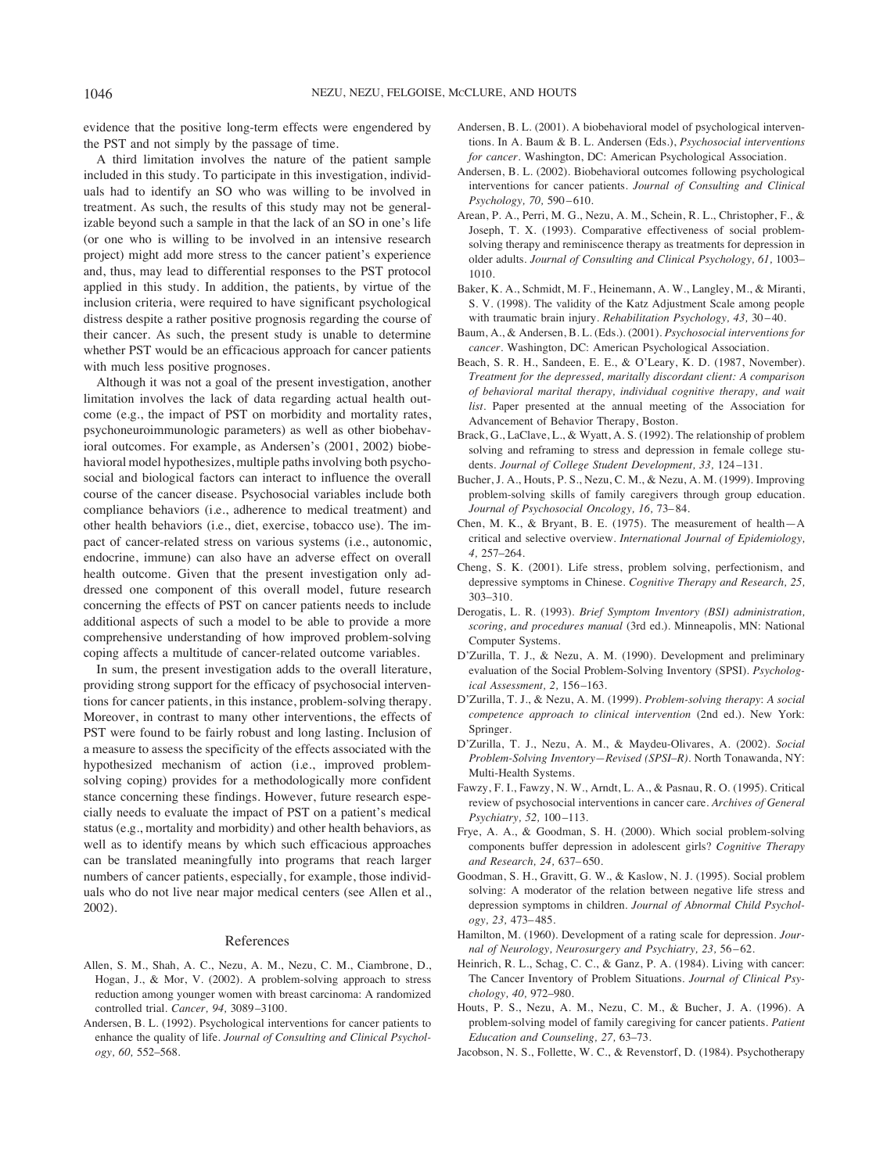evidence that the positive long-term effects were engendered by the PST and not simply by the passage of time.

A third limitation involves the nature of the patient sample included in this study. To participate in this investigation, individuals had to identify an SO who was willing to be involved in treatment. As such, the results of this study may not be generalizable beyond such a sample in that the lack of an SO in one's life (or one who is willing to be involved in an intensive research project) might add more stress to the cancer patient's experience and, thus, may lead to differential responses to the PST protocol applied in this study. In addition, the patients, by virtue of the inclusion criteria, were required to have significant psychological distress despite a rather positive prognosis regarding the course of their cancer. As such, the present study is unable to determine whether PST would be an efficacious approach for cancer patients with much less positive prognoses.

Although it was not a goal of the present investigation, another limitation involves the lack of data regarding actual health outcome (e.g., the impact of PST on morbidity and mortality rates, psychoneuroimmunologic parameters) as well as other biobehavioral outcomes. For example, as Andersen's (2001, 2002) biobehavioral model hypothesizes, multiple paths involving both psychosocial and biological factors can interact to influence the overall course of the cancer disease. Psychosocial variables include both compliance behaviors (i.e., adherence to medical treatment) and other health behaviors (i.e., diet, exercise, tobacco use). The impact of cancer-related stress on various systems (i.e., autonomic, endocrine, immune) can also have an adverse effect on overall health outcome. Given that the present investigation only addressed one component of this overall model, future research concerning the effects of PST on cancer patients needs to include additional aspects of such a model to be able to provide a more comprehensive understanding of how improved problem-solving coping affects a multitude of cancer-related outcome variables.

In sum, the present investigation adds to the overall literature, providing strong support for the efficacy of psychosocial interventions for cancer patients, in this instance, problem-solving therapy. Moreover, in contrast to many other interventions, the effects of PST were found to be fairly robust and long lasting. Inclusion of a measure to assess the specificity of the effects associated with the hypothesized mechanism of action (i.e., improved problemsolving coping) provides for a methodologically more confident stance concerning these findings. However, future research especially needs to evaluate the impact of PST on a patient's medical status (e.g., mortality and morbidity) and other health behaviors, as well as to identify means by which such efficacious approaches can be translated meaningfully into programs that reach larger numbers of cancer patients, especially, for example, those individuals who do not live near major medical centers (see Allen et al., 2002).

#### References

- Allen, S. M., Shah, A. C., Nezu, A. M., Nezu, C. M., Ciambrone, D., Hogan, J., & Mor, V. (2002). A problem-solving approach to stress reduction among younger women with breast carcinoma: A randomized controlled trial. *Cancer, 94,* 3089–3100.
- Andersen, B. L. (1992). Psychological interventions for cancer patients to enhance the quality of life. *Journal of Consulting and Clinical Psychology, 60,* 552–568.
- Andersen, B. L. (2001). A biobehavioral model of psychological interventions. In A. Baum & B. L. Andersen (Eds.), *Psychosocial interventions for cancer.* Washington, DC: American Psychological Association.
- Andersen, B. L. (2002). Biobehavioral outcomes following psychological interventions for cancer patients. *Journal of Consulting and Clinical Psychology, 70,* 590–610.
- Arean, P. A., Perri, M. G., Nezu, A. M., Schein, R. L., Christopher, F., & Joseph, T. X. (1993). Comparative effectiveness of social problemsolving therapy and reminiscence therapy as treatments for depression in older adults. *Journal of Consulting and Clinical Psychology, 61,* 1003– 1010.
- Baker, K. A., Schmidt, M. F., Heinemann, A. W., Langley, M., & Miranti, S. V. (1998). The validity of the Katz Adjustment Scale among people with traumatic brain injury. *Rehabilitation Psychology, 43,* 30–40.
- Baum, A., & Andersen, B. L. (Eds.). (2001). *Psychosocial interventions for cancer.* Washington, DC: American Psychological Association.
- Beach, S. R. H., Sandeen, E. E., & O'Leary, K. D. (1987, November). *Treatment for the depressed, maritally discordant client: A comparison of behavioral marital therapy, individual cognitive therapy, and wait list.* Paper presented at the annual meeting of the Association for Advancement of Behavior Therapy, Boston.
- Brack, G., LaClave, L., & Wyatt, A. S. (1992). The relationship of problem solving and reframing to stress and depression in female college students. *Journal of College Student Development, 33,* 124–131.
- Bucher, J. A., Houts, P. S., Nezu, C. M., & Nezu, A. M. (1999). Improving problem-solving skills of family caregivers through group education. *Journal of Psychosocial Oncology, 16,* 73–84.
- Chen, M. K., & Bryant, B. E. (1975). The measurement of health—A critical and selective overview. *International Journal of Epidemiology, 4,* 257–264.
- Cheng, S. K. (2001). Life stress, problem solving, perfectionism, and depressive symptoms in Chinese. *Cognitive Therapy and Research, 25,* 303–310.
- Derogatis, L. R. (1993). *Brief Symptom Inventory (BSI) administration, scoring, and procedures manual* (3rd ed.). Minneapolis, MN: National Computer Systems.
- D'Zurilla, T. J., & Nezu, A. M. (1990). Development and preliminary evaluation of the Social Problem-Solving Inventory (SPSI). *Psychological Assessment, 2,* 156–163.
- D'Zurilla, T. J., & Nezu, A. M. (1999). *Problem-solving therapy*: *A social competence approach to clinical intervention* (2nd ed.). New York: Springer.
- D'Zurilla, T. J., Nezu, A. M., & Maydeu-Olivares, A. (2002). *Social Problem-Solving Inventory—Revised (SPSI–R).* North Tonawanda, NY: Multi-Health Systems.
- Fawzy, F. I., Fawzy, N. W., Arndt, L. A., & Pasnau, R. O. (1995). Critical review of psychosocial interventions in cancer care. *Archives of General Psychiatry, 52,* 100–113.
- Frye, A. A., & Goodman, S. H. (2000). Which social problem-solving components buffer depression in adolescent girls? *Cognitive Therapy and Research, 24,* 637–650.
- Goodman, S. H., Gravitt, G. W., & Kaslow, N. J. (1995). Social problem solving: A moderator of the relation between negative life stress and depression symptoms in children. *Journal of Abnormal Child Psychology, 23,* 473–485.
- Hamilton, M. (1960). Development of a rating scale for depression. *Journal of Neurology, Neurosurgery and Psychiatry, 23,* 56–62.
- Heinrich, R. L., Schag, C. C., & Ganz, P. A. (1984). Living with cancer: The Cancer Inventory of Problem Situations. *Journal of Clinical Psychology, 40,* 972–980.
- Houts, P. S., Nezu, A. M., Nezu, C. M., & Bucher, J. A. (1996). A problem-solving model of family caregiving for cancer patients. *Patient Education and Counseling, 27,* 63–73.
- Jacobson, N. S., Follette, W. C., & Revenstorf, D. (1984). Psychotherapy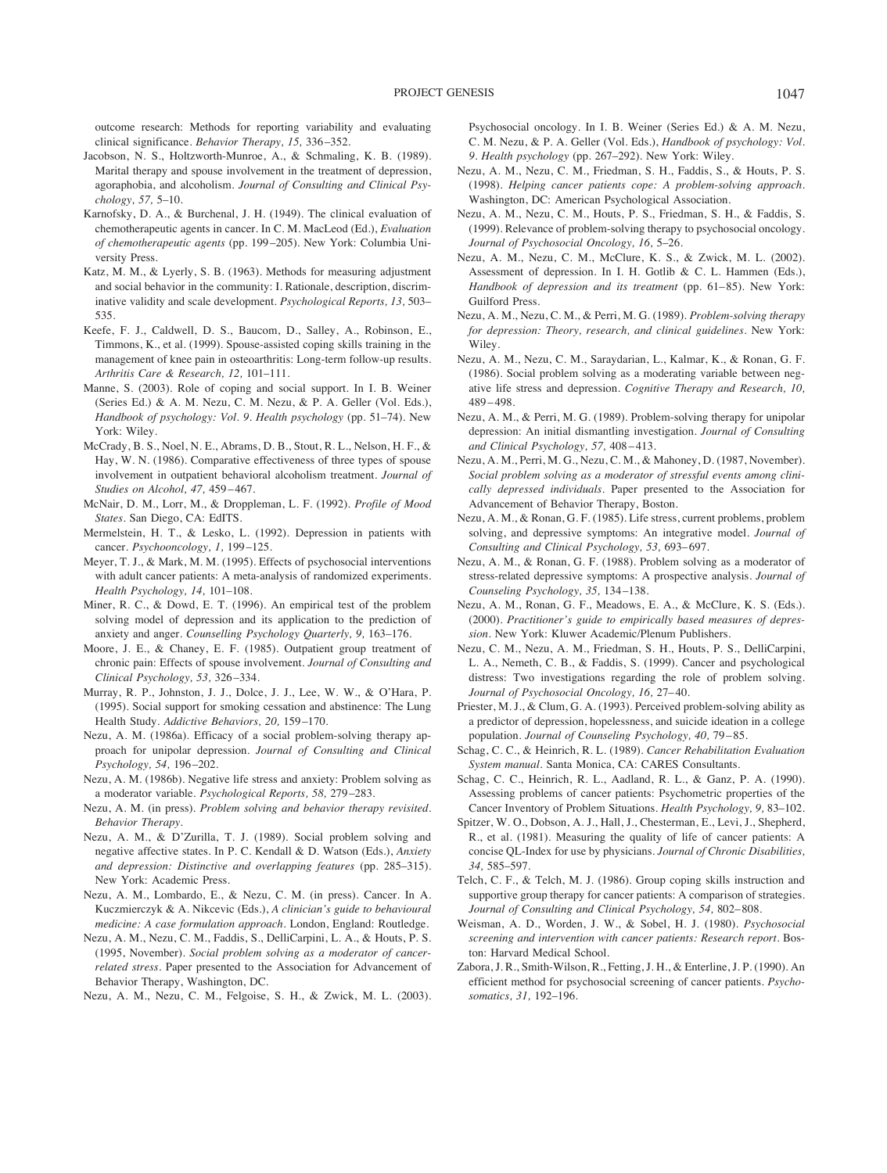outcome research: Methods for reporting variability and evaluating clinical significance. *Behavior Therapy, 15,* 336–352.

- Jacobson, N. S., Holtzworth-Munroe, A., & Schmaling, K. B. (1989). Marital therapy and spouse involvement in the treatment of depression, agoraphobia, and alcoholism. *Journal of Consulting and Clinical Psychology, 57,* 5–10.
- Karnofsky, D. A., & Burchenal, J. H. (1949). The clinical evaluation of chemotherapeutic agents in cancer. In C. M. MacLeod (Ed.), *Evaluation of chemotherapeutic agents* (pp. 199–205). New York: Columbia University Press.
- Katz, M. M., & Lyerly, S. B. (1963). Methods for measuring adjustment and social behavior in the community: I. Rationale, description, discriminative validity and scale development. *Psychological Reports, 13,* 503– 535.
- Keefe, F. J., Caldwell, D. S., Baucom, D., Salley, A., Robinson, E., Timmons, K., et al. (1999). Spouse-assisted coping skills training in the management of knee pain in osteoarthritis: Long-term follow-up results. *Arthritis Care & Research, 12,* 101–111.
- Manne, S. (2003). Role of coping and social support. In I. B. Weiner (Series Ed.) & A. M. Nezu, C. M. Nezu, & P. A. Geller (Vol. Eds.), *Handbook of psychology: Vol. 9. Health psychology* (pp. 51–74). New York: Wiley.
- McCrady, B. S., Noel, N. E., Abrams, D. B., Stout, R. L., Nelson, H. F., & Hay, W. N. (1986). Comparative effectiveness of three types of spouse involvement in outpatient behavioral alcoholism treatment. *Journal of Studies on Alcohol, 47,* 459–467.
- McNair, D. M., Lorr, M., & Droppleman, L. F. (1992). *Profile of Mood States.* San Diego, CA: EdITS.
- Mermelstein, H. T., & Lesko, L. (1992). Depression in patients with cancer. *Psychooncology, 1,* 199–125.
- Meyer, T. J., & Mark, M. M. (1995). Effects of psychosocial interventions with adult cancer patients: A meta-analysis of randomized experiments. *Health Psychology, 14,* 101–108.
- Miner, R. C., & Dowd, E. T. (1996). An empirical test of the problem solving model of depression and its application to the prediction of anxiety and anger. *Counselling Psychology Quarterly, 9,* 163–176.
- Moore, J. E., & Chaney, E. F. (1985). Outpatient group treatment of chronic pain: Effects of spouse involvement. *Journal of Consulting and Clinical Psychology, 53,* 326–334.
- Murray, R. P., Johnston, J. J., Dolce, J. J., Lee, W. W., & O'Hara, P. (1995). Social support for smoking cessation and abstinence: The Lung Health Study. *Addictive Behaviors, 20,* 159–170.
- Nezu, A. M. (1986a). Efficacy of a social problem-solving therapy approach for unipolar depression. *Journal of Consulting and Clinical Psychology, 54,* 196–202.
- Nezu, A. M. (1986b). Negative life stress and anxiety: Problem solving as a moderator variable. *Psychological Reports, 58,* 279–283.
- Nezu, A. M. (in press). *Problem solving and behavior therapy revisited. Behavior Therapy.*
- Nezu, A. M., & D'Zurilla, T. J. (1989). Social problem solving and negative affective states. In P. C. Kendall & D. Watson (Eds.), *Anxiety and depression: Distinctive and overlapping features* (pp. 285–315). New York: Academic Press.
- Nezu, A. M., Lombardo, E., & Nezu, C. M. (in press). Cancer. In A. Kuczmierczyk & A. Nikcevic (Eds.), *A clinician's guide to behavioural medicine: A case formulation approach.* London, England: Routledge.
- Nezu, A. M., Nezu, C. M., Faddis, S., DelliCarpini, L. A., & Houts, P. S. (1995, November). *Social problem solving as a moderator of cancerrelated stress.* Paper presented to the Association for Advancement of Behavior Therapy, Washington, DC.
- Nezu, A. M., Nezu, C. M., Felgoise, S. H., & Zwick, M. L. (2003).

Psychosocial oncology. In I. B. Weiner (Series Ed.) & A. M. Nezu, C. M. Nezu, & P. A. Geller (Vol. Eds.), *Handbook of psychology: Vol. 9. Health psychology* (pp. 267–292). New York: Wiley.

- Nezu, A. M., Nezu, C. M., Friedman, S. H., Faddis, S., & Houts, P. S. (1998). *Helping cancer patients cope: A problem-solving approach.* Washington, DC: American Psychological Association.
- Nezu, A. M., Nezu, C. M., Houts, P. S., Friedman, S. H., & Faddis, S. (1999). Relevance of problem-solving therapy to psychosocial oncology. *Journal of Psychosocial Oncology, 16,* 5–26.
- Nezu, A. M., Nezu, C. M., McClure, K. S., & Zwick, M. L. (2002). Assessment of depression. In I. H. Gotlib & C. L. Hammen (Eds.), *Handbook of depression and its treatment* (pp. 61–85). New York: Guilford Press.
- Nezu, A. M., Nezu, C. M., & Perri, M. G. (1989). *Problem-solving therapy for depression: Theory, research, and clinical guidelines.* New York: Wiley.
- Nezu, A. M., Nezu, C. M., Saraydarian, L., Kalmar, K., & Ronan, G. F. (1986). Social problem solving as a moderating variable between negative life stress and depression. *Cognitive Therapy and Research, 10,* 489–498.
- Nezu, A. M., & Perri, M. G. (1989). Problem-solving therapy for unipolar depression: An initial dismantling investigation. *Journal of Consulting and Clinical Psychology, 57,* 408–413.
- Nezu, A. M., Perri, M. G., Nezu, C. M., & Mahoney, D. (1987, November). *Social problem solving as a moderator of stressful events among clinically depressed individuals.* Paper presented to the Association for Advancement of Behavior Therapy, Boston.
- Nezu, A. M., & Ronan, G. F. (1985). Life stress, current problems, problem solving, and depressive symptoms: An integrative model. *Journal of Consulting and Clinical Psychology, 53,* 693–697.
- Nezu, A. M., & Ronan, G. F. (1988). Problem solving as a moderator of stress-related depressive symptoms: A prospective analysis. *Journal of Counseling Psychology, 35,* 134–138.
- Nezu, A. M., Ronan, G. F., Meadows, E. A., & McClure, K. S. (Eds.). (2000). *Practitioner's guide to empirically based measures of depression.* New York: Kluwer Academic/Plenum Publishers.
- Nezu, C. M., Nezu, A. M., Friedman, S. H., Houts, P. S., DelliCarpini, L. A., Nemeth, C. B., & Faddis, S. (1999). Cancer and psychological distress: Two investigations regarding the role of problem solving. *Journal of Psychosocial Oncology, 16,* 27–40.
- Priester, M. J., & Clum, G. A. (1993). Perceived problem-solving ability as a predictor of depression, hopelessness, and suicide ideation in a college population. *Journal of Counseling Psychology, 40,* 79–85.
- Schag, C. C., & Heinrich, R. L. (1989). *Cancer Rehabilitation Evaluation System manual.* Santa Monica, CA: CARES Consultants.
- Schag, C. C., Heinrich, R. L., Aadland, R. L., & Ganz, P. A. (1990). Assessing problems of cancer patients: Psychometric properties of the Cancer Inventory of Problem Situations. *Health Psychology, 9,* 83–102.
- Spitzer, W. O., Dobson, A. J., Hall, J., Chesterman, E., Levi, J., Shepherd, R., et al. (1981). Measuring the quality of life of cancer patients: A concise QL-Index for use by physicians. *Journal of Chronic Disabilities, 34,* 585–597.
- Telch, C. F., & Telch, M. J. (1986). Group coping skills instruction and supportive group therapy for cancer patients: A comparison of strategies. *Journal of Consulting and Clinical Psychology, 54,* 802–808.
- Weisman, A. D., Worden, J. W., & Sobel, H. J. (1980). *Psychosocial screening and intervention with cancer patients: Research report.* Boston: Harvard Medical School.
- Zabora, J. R., Smith-Wilson, R., Fetting, J. H., & Enterline, J. P. (1990). An efficient method for psychosocial screening of cancer patients. *Psychosomatics, 31,* 192–196.